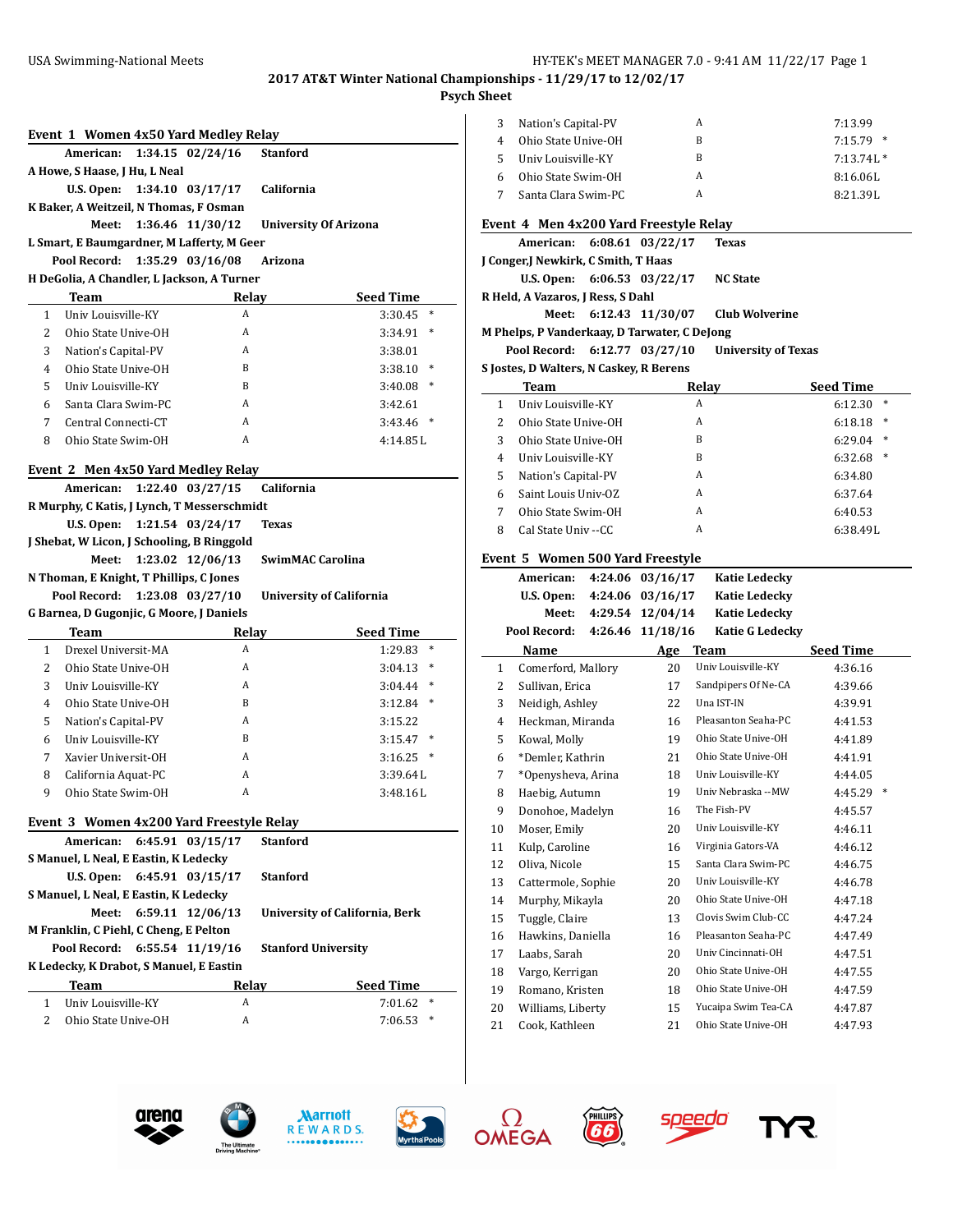# **Psych Sheet**

|                |                                          |                  | Event 1 Women 4x50 Yard Medley Relay                         |                                       |        |
|----------------|------------------------------------------|------------------|--------------------------------------------------------------|---------------------------------------|--------|
|                | American:                                |                  | $1:34.15$ $02/24/16$                                         | <b>Stanford</b>                       |        |
|                | A Howe, S Haase, J Hu, L Neal            |                  |                                                              |                                       |        |
|                | U.S. Open:                               |                  | $1:34.10$ $03/17/17$                                         | California                            |        |
|                | K Baker, A Weitzeil, N Thomas, F Osman   |                  |                                                              |                                       |        |
|                | Meet:                                    |                  | 1:36.46 11/30/12                                             | <b>University Of Arizona</b>          |        |
|                |                                          |                  | L Smart, E Baumgardner, M Lafferty, M Geer                   |                                       |        |
|                | Pool Record:                             |                  | 1:35.29 03/16/08                                             | Arizona                               |        |
|                |                                          |                  | H DeGolia, A Chandler, L Jackson, A Turner                   |                                       |        |
|                | Team                                     |                  | Relav                                                        | <b>Seed Time</b>                      |        |
| $\mathbf{1}$   | Univ Louisville-KY                       |                  | A                                                            | 3:30.45                               | $\ast$ |
| 2              | Ohio State Unive-OH                      |                  | A                                                            | 3:34.91                               | *      |
| 3              | Nation's Capital-PV                      |                  | A                                                            | 3:38.01                               |        |
| 4              | Ohio State Unive-OH                      |                  | B                                                            | 3:38.10                               | ∗      |
| 5              | Univ Louisville-KY                       |                  | B                                                            | 3:40.08                               | ∗      |
| 6              | Santa Clara Swim-PC                      |                  | A                                                            | 3:42.61                               |        |
| 7              | Central Connecti-CT                      |                  | A                                                            | 3:43.46                               | $\ast$ |
| 8              | Ohio State Swim-OH                       |                  | A                                                            | 4:14.85L                              |        |
|                |                                          |                  | Event 2 Men 4x50 Yard Medley Relay                           |                                       |        |
|                | American:                                |                  | 1:22.40 03/27/15                                             | California                            |        |
|                |                                          |                  | R Murphy, C Katis, J Lynch, T Messerschmidt                  |                                       |        |
|                | U.S. Open:                               |                  | 1:21.54 03/24/17                                             | <b>Texas</b>                          |        |
|                |                                          |                  | J Shebat, W Licon, J Schooling, B Ringgold                   |                                       |        |
|                |                                          |                  |                                                              |                                       |        |
|                | Meet:                                    | 1:23.02 12/06/13 |                                                              | SwimMAC Carolina                      |        |
|                | N Thoman, E Knight, T Phillips, C Jones  |                  |                                                              |                                       |        |
|                | Pool Record:                             |                  | 1:23.08 03/27/10                                             | <b>University of California</b>       |        |
|                | G Barnea, D Gugonjic, G Moore, J Daniels |                  |                                                              |                                       |        |
|                | Team                                     |                  | <b>Relay</b>                                                 | <b>Seed Time</b>                      |        |
| $\mathbf{1}$   | Drexel Universit-MA                      |                  | A                                                            | 1:29.83                               | ∗      |
| $\overline{2}$ | Ohio State Unive-OH                      |                  | A                                                            | 3:04.13                               | *      |
| 3              | Univ Louisville-KY                       |                  | A                                                            | 3:04.44                               | ∗      |
| 4              | Ohio State Unive-OH                      |                  | B                                                            | 3:12.84                               | ∗      |
| 5              | Nation's Capital-PV                      |                  | A                                                            | 3:15.22                               |        |
| 6              | Univ Louisville-KY                       |                  | <sub>B</sub>                                                 | 3:15.47                               | $\ast$ |
| 7              | Xavier Universit-OH                      |                  | A                                                            | 3:16.25                               | ∗      |
| 8              | California Aquat-PC                      |                  | A                                                            | 3:39.64L                              |        |
| 9              | Ohio State Swim-OH                       |                  | A                                                            | 3:48.16L                              |        |
|                |                                          |                  |                                                              |                                       |        |
|                | American:                                |                  | Event 3 Women 4x200 Yard Freestyle Relay<br>6:45.91 03/15/17 | <b>Stanford</b>                       |        |
|                | S Manuel, L Neal, E Eastin, K Ledecky    |                  |                                                              |                                       |        |
|                | U.S. Open: $6:45.91$ 03/15/17            |                  |                                                              | <b>Stanford</b>                       |        |
|                | S Manuel, L Neal, E Eastin, K Ledecky    |                  |                                                              |                                       |        |
|                | Meet:                                    |                  | 6:59.11 12/06/13                                             | <b>University of California, Berk</b> |        |
|                | M Franklin, C Piehl, C Cheng, E Pelton   |                  |                                                              |                                       |        |
|                | Pool Record:                             |                  | 6:55.54 11/19/16                                             | <b>Stanford University</b>            |        |
|                | K Ledecky, K Drabot, S Manuel, E Eastin  |                  |                                                              |                                       |        |
|                | Team                                     |                  | <b>Relay</b>                                                 | <b>Seed Time</b>                      |        |
| $\mathbf{1}$   | Univ Louisville-KY                       |                  | A                                                            | 7:01.62                               | ∗      |

| sneet          |                                                       |                      |                                            |                      |
|----------------|-------------------------------------------------------|----------------------|--------------------------------------------|----------------------|
| 3              | Nation's Capital-PV                                   |                      | A                                          | 7:13.99              |
| 4              | Ohio State Unive-OH                                   |                      | B                                          | 7:15.79<br>∗         |
| 5              | Univ Louisville-KY                                    |                      | B                                          | $7:13.74L*$          |
| 6              | Ohio State Swim-OH                                    |                      | A                                          | 8:16.06L             |
| 7              | Santa Clara Swim-PC                                   |                      | A                                          | 8:21.39L             |
|                | Event 4 Men 4x200 Yard Freestyle Relay                |                      |                                            |                      |
|                | American:                                             | $6:08.61$ $03/22/17$ | <b>Texas</b>                               |                      |
|                | J Conger,J Newkirk, C Smith, T Haas                   |                      |                                            |                      |
|                | U.S. Open: $6:06.53$ 03/22/17                         |                      | <b>NC State</b>                            |                      |
|                | R Held, A Vazaros, J Ress, S Dahl                     |                      |                                            |                      |
|                | Meet:<br>M Phelps, P Vanderkaay, D Tarwater, C DeJong | 6:12.43 11/30/07     | <b>Club Wolverine</b>                      |                      |
|                | Pool Record:                                          | 6:12.77 03/27/10     | <b>University of Texas</b>                 |                      |
|                | S Jostes, D Walters, N Caskey, R Berens               |                      |                                            |                      |
|                | Team                                                  |                      | Relay                                      | Seed Time            |
| 1              | Univ Louisville-KY                                    |                      | A                                          | $\ast$<br>6:12.30    |
| $\overline{2}$ | Ohio State Unive-OH                                   |                      | A                                          | $\ast$<br>6:18.18    |
| 3              | Ohio State Unive-OH                                   |                      | B                                          | $\ast$<br>6:29.04    |
| 4              | Univ Louisville-KY                                    |                      | B                                          | $\ast$<br>6:32.68    |
| 5              | Nation's Capital-PV                                   |                      | A                                          | 6:34.80              |
| 6              | Saint Louis Univ-OZ                                   |                      | A                                          | 6:37.64              |
| 7              | Ohio State Swim-OH                                    |                      | A                                          | 6:40.53              |
| 8              | Cal State Univ -- CC                                  |                      | A                                          | 6:38.49L             |
|                |                                                       |                      |                                            |                      |
|                | Event 5 Women 500 Yard Freestyle                      |                      |                                            |                      |
|                | American: 4:24.06 03/16/17                            |                      | <b>Katie Ledecky</b>                       |                      |
|                | U.S. Open: $4:24.06$ 03/16/17                         |                      | <b>Katie Ledecky</b>                       |                      |
|                | Meet:                                                 | 4:29.54 12/04/14     | <b>Katie Ledecky</b>                       |                      |
|                | Pool Record:                                          | 4:26.46 11/18/16     | <b>Katie G Ledecky</b>                     |                      |
|                | Name                                                  | Age                  | Team                                       | Seed Time            |
| 1              | Comerford, Mallory                                    | 20                   | Univ Louisville-KY                         | 4:36.16              |
| 2              | Sullivan, Erica                                       | 17                   | Sandpipers Of Ne-CA                        | 4:39.66              |
| 3              | Neidigh, Ashley                                       | 22                   | Una IST-IN                                 | 4:39.91              |
| 4              | Heckman, Miranda                                      | 16                   | Pleasanton Seaha-PC                        | 4:41.53              |
| 5              | Kowal, Molly                                          | 19                   | Ohio State Unive-OH                        | 4:41.89              |
| 6              | *Demler, Kathrin                                      | 21                   | Ohio State Unive-OH<br>Univ Louisville-KY  | 4:41.91              |
| 7              | *Openysheva, Arina                                    | 18                   | Univ Nebraska --MW                         | 4:44.05              |
| 8<br>9         | Haebig, Autumn<br>Donohoe, Madelyn                    | 19<br>16             | The Fish-PV                                | 4:45.57              |
| 10             | Moser, Emily                                          | 20                   | Univ Louisville-KY                         | 4:46.11              |
| 11             | Kulp, Caroline                                        | 16                   | Virginia Gators-VA                         | 4:46.12              |
| 12             | Oliva, Nicole                                         | 15                   | Santa Clara Swim-PC                        | 4:46.75              |
| 13             | Cattermole, Sophie                                    | 20                   | Univ Louisville-KY                         | 4:46.78              |
| 14             | Murphy, Mikayla                                       | 20                   | Ohio State Unive-OH                        | 4:47.18              |
| 15             | Tuggle, Claire                                        | 13                   | Clovis Swim Club-CC                        | 4:47.24              |
| 16             | Hawkins, Daniella                                     | 16                   | Pleasanton Seaha-PC                        | 4:47.49              |
| 17             | Laabs, Sarah                                          | 20                   | Univ Cincinnati-OH                         | 4:45.29 *<br>4:47.51 |
| 18             | Vargo, Kerrigan                                       | 20                   | Ohio State Unive-OH                        | 4:47.55              |
| 19             | Romano, Kristen                                       | 18                   | Ohio State Unive-OH                        | 4:47.59              |
| 20<br>21       | Williams, Liberty<br>Cook, Kathleen                   | 15<br>21             | Yucaipa Swim Tea-CA<br>Ohio State Unive-OH | 4:47.87<br>4:47.93   |











**TYR**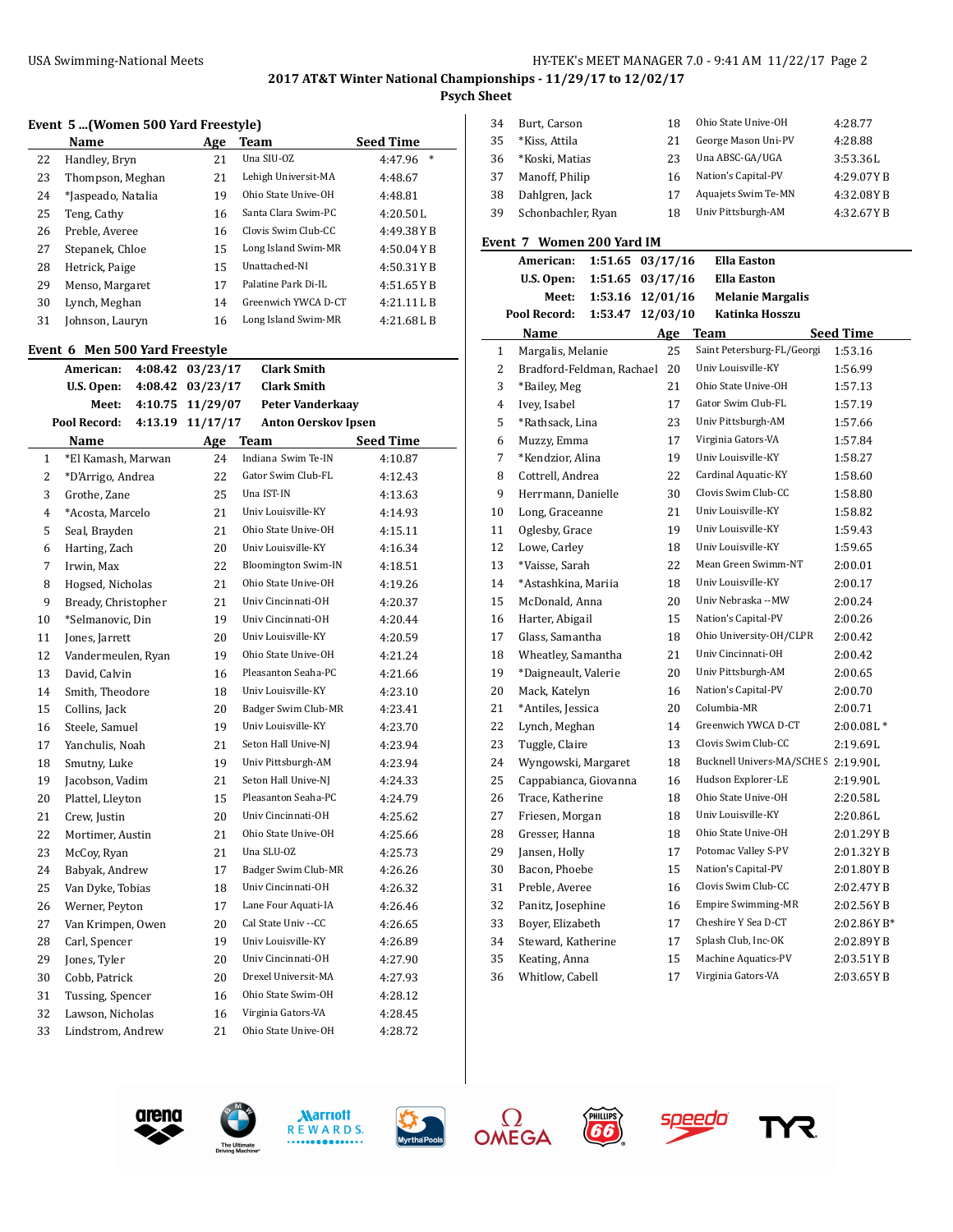#### USA Swimming-National Meets HY-TEK's MEET MANAGER 7.0 - 9:41 AM 11/22/17 Page 2

# **2017 AT&T Winter National Championships - 11/29/17 to 12/02/17**

 $\overline{a}$ 

**Psych Sheet**

|  |  |  |  | Event 5 (Women 500 Yard Freestyle) |
|--|--|--|--|------------------------------------|
|--|--|--|--|------------------------------------|

|                | Name                           |         | Age              | Team                       | <b>Seed Time</b>  |
|----------------|--------------------------------|---------|------------------|----------------------------|-------------------|
| 22             | Handley, Bryn                  |         | 21               | Una SIU-OZ                 | $\ast$<br>4:47.96 |
| 23             | Thompson, Meghan               |         | 21               | Lehigh Universit-MA        | 4:48.67           |
| 24             | *Jaspeado, Natalia             |         | 19               | Ohio State Unive-OH        | 4:48.81           |
| 25             | Teng, Cathy                    |         | 16               | Santa Clara Swim-PC        | 4:20.50L          |
| 26             | Preble, Averee                 |         | 16               | Clovis Swim Club-CC        | 4:49.38YB         |
| 27             | Stepanek, Chloe                |         | 15               | Long Island Swim-MR        | 4:50.04YB         |
| 28             | Hetrick, Paige                 |         | 15               | Unattached-NI              | 4:50.31YB         |
| 29             | Menso, Margaret                |         | 17               | Palatine Park Di-IL        | 4:51.65YB         |
| 30             | Lynch, Meghan                  |         | 14               | Greenwich YWCA D-CT        | 4:21.11L B        |
| 31             | Johnson, Lauryn                |         | 16               | Long Island Swim-MR        | 4:21.68LB         |
|                | Event 6 Men 500 Yard Freestyle |         |                  |                            |                   |
|                | American:                      | 4:08.42 | 03/23/17         | <b>Clark Smith</b>         |                   |
|                | U.S. Open:                     | 4:08.42 | 03/23/17         | <b>Clark Smith</b>         |                   |
|                | Meet:                          |         | 4:10.75 11/29/07 | <b>Peter Vanderkaay</b>    |                   |
|                | Pool Record:                   | 4:13.19 | 11/17/17         | <b>Anton Oerskov Ipsen</b> |                   |
|                | Name                           |         | Age              | <b>Team</b>                | <b>Seed Time</b>  |
| 1              | *El Kamash, Marwan             |         | 24               | Indiana Swim Te-IN         | 4:10.87           |
| 2              | *D'Arrigo, Andrea              |         | 22               | Gator Swim Club-FL         | 4:12.43           |
| 3              | Grothe, Zane                   |         | 25               | Una IST-IN                 | 4:13.63           |
| $\overline{ }$ | $*$ A $    M$ $     -$         |         | <b>O</b> 1       | Univ Louisville VV         | 1.102             |

|                | Name                | <u>Age</u> | Team                       | <b>Seed Time</b> |
|----------------|---------------------|------------|----------------------------|------------------|
| 1              | *El Kamash, Marwan  | 24         | Indiana Swim Te-IN         | 4:10.87          |
| $\overline{c}$ | *D'Arrigo, Andrea   | 22         | Gator Swim Club-FL         | 4:12.43          |
| 3              | Grothe, Zane        | 25         | Una IST-IN                 | 4:13.63          |
| 4              | *Acosta, Marcelo    | 21         | Univ Louisville-KY         | 4:14.93          |
| 5              | Seal, Brayden       | 21         | Ohio State Unive-OH        | 4:15.11          |
| 6              | Harting, Zach       | 20         | Univ Louisville-KY         | 4:16.34          |
| 7              | Irwin, Max          | 22         | <b>Bloomington Swim-IN</b> | 4:18.51          |
| 8              | Hogsed, Nicholas    | 21         | Ohio State Unive-OH        | 4:19.26          |
| 9              | Bready, Christopher | 21         | Univ Cincinnati-OH         | 4:20.37          |
| 10             | *Selmanovic, Din    | 19         | Univ Cincinnati-OH         | 4:20.44          |
| 11             | Jones, Jarrett      | 20         | Univ Louisville-KY         | 4:20.59          |
| 12             | Vandermeulen, Ryan  | 19         | Ohio State Unive-OH        | 4:21.24          |
| 13             | David, Calvin       | 16         | Pleasanton Seaha-PC        | 4:21.66          |
| 14             | Smith, Theodore     | 18         | Univ Louisville-KY         | 4:23.10          |
| 15             | Collins, Jack       | 20         | Badger Swim Club-MR        | 4:23.41          |
| 16             | Steele, Samuel      | 19         | Univ Louisville-KY         | 4:23.70          |
| 17             | Yanchulis, Noah     | 21         | Seton Hall Unive-NJ        | 4:23.94          |
| 18             | Smutny, Luke        | 19         | Univ Pittsburgh-AM         | 4:23.94          |
| 19             | Jacobson, Vadim     | 21         | Seton Hall Unive-NJ        | 4:24.33          |
| 20             | Plattel, Lleyton    | 15         | Pleasanton Seaha-PC        | 4:24.79          |
| 21             | Crew, Justin        | 20         | Univ Cincinnati-OH         | 4:25.62          |
| 22             | Mortimer, Austin    | 21         | Ohio State Unive-OH        | 4:25.66          |
| 23             | McCoy, Ryan         | 21         | Una SLU-OZ                 | 4:25.73          |
| 24             | Babyak, Andrew      | 17         | Badger Swim Club-MR        | 4:26.26          |
| 25             | Van Dyke, Tobias    | 18         | Univ Cincinnati-OH         | 4:26.32          |
| 26             | Werner, Peyton      | 17         | Lane Four Aquati-IA        | 4:26.46          |
| 27             | Van Krimpen, Owen   | 20         | Cal State Univ --CC        | 4:26.65          |
| 28             | Carl, Spencer       | 19         | Univ Louisville-KY         | 4:26.89          |
| 29             | Jones, Tyler        | 20         | Univ Cincinnati-OH         | 4:27.90          |
| 30             | Cobb, Patrick       | 20         | Drexel Universit-MA        | 4:27.93          |
| 31             | Tussing, Spencer    | 16         | Ohio State Swim-OH         | 4:28.12          |
| 32             | Lawson, Nicholas    | 16         | Virginia Gators-VA         | 4:28.45          |
| 33             | Lindstrom, Andrew   | 21         | Ohio State Unive-OH        | 4:28.72          |
|                |                     |            |                            |                  |

| 34 | Burt, Carson       | 18 | Ohio State Unive-OH | 4:28.77   |
|----|--------------------|----|---------------------|-----------|
| 35 | *Kiss, Attila      | 21 | George Mason Uni-PV | 4:28.88   |
| 36 | *Koski, Matias     | 23 | Una ABSC-GA/UGA     | 3:53.36L  |
| 37 | Manoff, Philip     | 16 | Nation's Capital-PV | 4:29.07YB |
| 38 | Dahlgren, Jack     | 17 | Aquajets Swim Te-MN | 4:32.08YB |
| 39 | Schonbachler, Ryan | 18 | Univ Pittsburgh-AM  | 4:32.67YB |

# **Event 7 Women 200 Yard IM**

|                | American:                 | 1:51.65 03/17/16 |          | <b>Ella Easton</b>                  |                  |
|----------------|---------------------------|------------------|----------|-------------------------------------|------------------|
|                | U.S. Open:                | 1:51.65 03/17/16 |          | <b>Ella Easton</b>                  |                  |
|                | Meet:                     | 1:53.16          | 12/01/16 | <b>Melanie Margalis</b>             |                  |
|                | Pool Record:              | 1:53.47          | 12/03/10 | Katinka Hosszu                      |                  |
|                | Name                      |                  | Age      | Team                                | <b>Seed Time</b> |
| $\mathbf{1}$   | Margalis, Melanie         |                  | 25       | Saint Petersburg-FL/Georgi          | 1:53.16          |
| 2              | Bradford-Feldman, Rachael |                  | 20       | Univ Louisville-KY                  | 1:56.99          |
| 3              | *Bailey, Meg              |                  | 21       | Ohio State Unive-OH                 | 1:57.13          |
| 4              | Ivey, Isabel              |                  | 17       | Gator Swim Club-FL                  | 1:57.19          |
| 5              | *Rathsack, Lina           |                  | 23       | Univ Pittsburgh-AM                  | 1:57.66          |
| 6              | Muzzy, Emma               |                  | 17       | Virginia Gators-VA                  | 1:57.84          |
| $\overline{7}$ | *Kendzior, Alina          |                  | 19       | Univ Louisville-KY                  | 1:58.27          |
| 8              | Cottrell, Andrea          |                  | 22       | Cardinal Aquatic-KY                 | 1:58.60          |
| 9              | Herrmann, Danielle        |                  | 30       | Clovis Swim Club-CC                 | 1:58.80          |
| 10             | Long, Graceanne           |                  | 21       | Univ Louisville-KY                  | 1:58.82          |
| 11             | Oglesby, Grace            |                  | 19       | Univ Louisville-KY                  | 1:59.43          |
| 12             | Lowe, Carley              |                  | 18       | Univ Louisville-KY                  | 1:59.65          |
| 13             | *Vaisse, Sarah            |                  | 22       | Mean Green Swimm-NT                 | 2:00.01          |
| 14             | *Astashkina, Mariia       |                  | 18       | Univ Louisville-KY                  | 2:00.17          |
| 15             | McDonald, Anna            |                  | 20       | Univ Nebraska --MW                  | 2:00.24          |
| 16             | Harter, Abigail           |                  | 15       | Nation's Capital-PV                 | 2:00.26          |
| 17             | Glass, Samantha           |                  | 18       | Ohio University-OH/CLPR             | 2:00.42          |
| 18             | Wheatley, Samantha        |                  | 21       | Univ Cincinnati-OH                  | 2:00.42          |
| 19             | *Daigneault, Valerie      |                  | 20       | Univ Pittsburgh-AM                  | 2:00.65          |
| 20             | Mack, Katelyn             |                  | 16       | Nation's Capital-PV                 | 2:00.70          |
| 21             | *Antiles, Jessica         |                  | 20       | Columbia-MR                         | 2:00.71          |
| 22             | Lynch, Meghan             |                  | 14       | Greenwich YWCA D-CT                 | $2:00.08L*$      |
| 23             | Tuggle, Claire            |                  | 13       | Clovis Swim Club-CC                 | 2:19.69L         |
| 24             | Wyngowski, Margaret       |                  | 18       | Bucknell Univers-MA/SCHE S 2:19.90L |                  |
| 25             | Cappabianca, Giovanna     |                  | 16       | Hudson Explorer-LE                  | 2:19.90L         |
| 26             | Trace, Katherine          |                  | 18       | Ohio State Unive-OH                 | 2:20.58L         |
| 27             | Friesen, Morgan           |                  | 18       | Univ Louisville-KY                  | 2:20.86L         |
| 28             | Gresser, Hanna            |                  | 18       | Ohio State Unive-OH                 | 2:01.29YB        |
| 29             | Jansen, Holly             |                  | 17       | Potomac Valley S-PV                 | 2:01.32YB        |
| 30             | Bacon, Phoebe             |                  | 15       | Nation's Capital-PV                 | 2:01.80YB        |
| 31             | Preble, Averee            |                  | 16       | Clovis Swim Club-CC                 | 2:02.47YB        |
| 32             | Panitz, Josephine         |                  | 16       | <b>Empire Swimming-MR</b>           | 2:02.56YB        |
| 33             | Boyer, Elizabeth          |                  | 17       | Cheshire Y Sea D-CT                 | 2:02.86YB*       |
| 34             | Steward, Katherine        |                  | 17       | Splash Club, Inc-OK                 | 2:02.89YB        |
| 35             | Keating, Anna             |                  | 15       | Machine Aquatics-PV                 | 2:03.51YB        |
| 36             | Whitlow, Cabell           |                  | 17       | Virginia Gators-VA                  | 2:03.65YB        |









**FHILLIPS** 



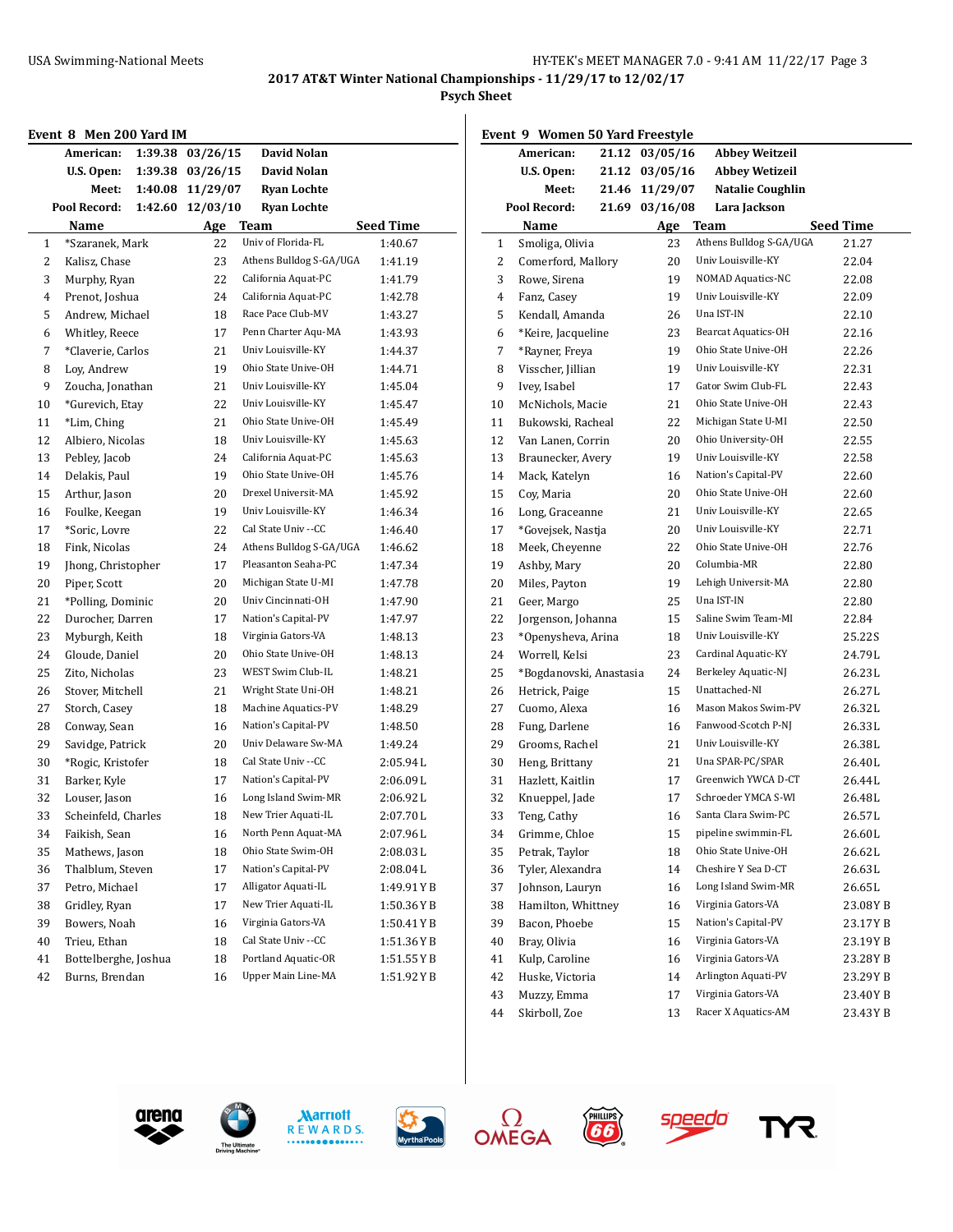**Psych Sheet**

| Event 8 Men 200 Yard IM |  |  |  |  |  |
|-------------------------|--|--|--|--|--|
|-------------------------|--|--|--|--|--|

|    | Event 8 Men 200 Yard IM |         |          |                         |             |
|----|-------------------------|---------|----------|-------------------------|-------------|
|    | American:               | 1:39.38 | 03/26/15 | David Nolan             |             |
|    | U.S. Open:              | 1:39.38 | 03/26/15 | David Nolan             |             |
|    | Meet:                   | 1:40.08 | 11/29/07 | <b>Ryan Lochte</b>      |             |
|    | Pool Record:            | 1:42.60 | 12/03/10 | <b>Ryan Lochte</b>      |             |
|    | Name                    |         | Age      | Team                    | Seed Time   |
| 1  | *Szaranek, Mark         |         | 22       | Univ of Florida-FL      | 1:40.67     |
| 2  | Kalisz, Chase           |         | 23       | Athens Bulldog S-GA/UGA | 1:41.19     |
| 3  | Murphy, Ryan            |         | 22       | California Aquat-PC     | 1:41.79     |
| 4  | Prenot, Joshua          |         | 24       | California Aquat-PC     | 1:42.78     |
| 5  | Andrew, Michael         |         | 18       | Race Pace Club-MV       | 1:43.27     |
| 6  | Whitley, Reece          |         | 17       | Penn Charter Aqu-MA     | 1:43.93     |
| 7  | *Claverie, Carlos       |         | 21       | Univ Louisville-KY      | 1:44.37     |
| 8  | Loy, Andrew             |         | 19       | Ohio State Unive-OH     | 1:44.71     |
| 9  | Zoucha, Jonathan        |         | 21       | Univ Louisville-KY      | 1:45.04     |
| 10 | *Gurevich, Etay         |         | 22       | Univ Louisville-KY      | 1:45.47     |
| 11 | *Lim, Ching             |         | 21       | Ohio State Unive-OH     | 1:45.49     |
| 12 | Albiero, Nicolas        |         | 18       | Univ Louisville-KY      | 1:45.63     |
| 13 | Pebley, Jacob           |         | 24       | California Aquat-PC     | 1:45.63     |
| 14 | Delakis, Paul           |         | 19       | Ohio State Unive-OH     | 1:45.76     |
| 15 | Arthur, Jason           |         | 20       | Drexel Universit-MA     | 1:45.92     |
| 16 | Foulke, Keegan          |         | 19       | Univ Louisville-KY      | 1:46.34     |
| 17 | *Soric, Lovre           |         | 22       | Cal State Univ --CC     | 1:46.40     |
| 18 | Fink, Nicolas           |         | 24       | Athens Bulldog S-GA/UGA | 1:46.62     |
| 19 | Jhong, Christopher      |         | 17       | Pleasanton Seaha-PC     | 1:47.34     |
| 20 | Piper, Scott            |         | 20       | Michigan State U-MI     | 1:47.78     |
| 21 | *Polling, Dominic       |         | 20       | Univ Cincinnati-OH      | 1:47.90     |
| 22 | Durocher, Darren        |         | 17       | Nation's Capital-PV     | 1:47.97     |
| 23 | Myburgh, Keith          |         | 18       | Virginia Gators-VA      | 1:48.13     |
| 24 | Gloude, Daniel          |         | 20       | Ohio State Unive-OH     | 1:48.13     |
| 25 | Zito, Nicholas          |         | 23       | WEST Swim Club-IL       | 1:48.21     |
| 26 | Stover, Mitchell        |         | 21       | Wright State Uni-OH     | 1:48.21     |
| 27 | Storch, Casey           |         | 18       | Machine Aquatics-PV     | 1:48.29     |
| 28 | Conway, Sean            |         | 16       | Nation's Capital-PV     | 1:48.50     |
| 29 | Savidge, Patrick        |         | 20       | Univ Delaware Sw-MA     | 1:49.24     |
| 30 | *Rogic, Kristofer       |         | 18       | Cal State Univ --CC     | 2:05.94L    |
| 31 | Barker, Kyle            |         | 17       | Nation's Capital-PV     | 2:06.09L    |
| 32 | Louser, Jason           |         | 16       | Long Island Swim-MR     | 2:06.92L    |
| 33 | Scheinfeld, Charles     |         | 18       | New Trier Aquati-IL     | 2:07.70L    |
| 34 | Faikish, Sean           |         | 16       | North Penn Aquat-MA     | 2:07.96L    |
| 35 | Mathews, Jason          |         | 18       | Ohio State Swim-OH      | 2:08.03L    |
| 36 | Thalblum, Steven        |         | 17       | Nation's Capital-PV     | 2:08.04L    |
| 37 | Petro, Michael          |         | 17       | Alligator Aquati-IL     | 1:49.91 Y B |
| 38 | Gridley, Ryan           |         | 17       | New Trier Aquati-IL     | 1:50.36YB   |
| 39 | Bowers, Noah            |         | 16       | Virginia Gators-VA      | 1:50.41YB   |
| 40 | Trieu, Ethan            |         | 18       | Cal State Univ -- CC    | 1:51.36 Y B |
| 41 | Bottelberghe, Joshua    |         | 18       | Portland Aquatic-OR     | 1:51.55 Y B |
| 42 | Burns, Brendan          |         | 16       | Upper Main Line-MA      | 1:51.92 Y B |
|    |                         |         |          |                         |             |

|    | Event 9 Women 50 Yard Freestyle |       |                |                            |                  |
|----|---------------------------------|-------|----------------|----------------------------|------------------|
|    | American:                       |       | 21.12 03/05/16 | <b>Abbey Weitzeil</b>      |                  |
|    | U.S. Open:                      |       | 21.12 03/05/16 | <b>Abbey Wetizeil</b>      |                  |
|    | Meet:                           | 21.46 | 11/29/07       | Natalie Coughlin           |                  |
|    | Pool Record:                    | 21.69 | 03/16/08       | Lara Jackson               |                  |
|    | Name                            |       | Age            | <b>Team</b>                | <b>Seed Time</b> |
| 1  | Smoliga, Olivia                 |       | 23             | Athens Bulldog S-GA/UGA    | 21.27            |
| 2  | Comerford, Mallory              |       | 20             | Univ Louisville-KY         | 22.04            |
| 3  | Rowe, Sirena                    |       | 19             | <b>NOMAD Aquatics-NC</b>   | 22.08            |
| 4  | Fanz, Casey                     |       | 19             | Univ Louisville-KY         | 22.09            |
| 5  | Kendall, Amanda                 |       | 26             | Una IST-IN                 | 22.10            |
| 6  | *Keire, Jacqueline              |       | 23             | <b>Bearcat Aquatics-OH</b> | 22.16            |
| 7  | *Rayner, Freya                  |       | 19             | Ohio State Unive-OH        | 22.26            |
| 8  | Visscher, Jillian               |       | 19             | Univ Louisville-KY         | 22.31            |
| 9  | Ivey, Isabel                    |       | 17             | Gator Swim Club-FL         | 22.43            |
| 10 | McNichols, Macie                |       | 21             | Ohio State Unive-OH        | 22.43            |
| 11 | Bukowski, Racheal               |       | 22             | Michigan State U-MI        | 22.50            |
| 12 | Van Lanen, Corrin               |       | 20             | Ohio University-OH         | 22.55            |
| 13 | Braunecker, Avery               |       | 19             | Univ Louisville-KY         | 22.58            |
| 14 | Mack, Katelyn                   |       | 16             | Nation's Capital-PV        | 22.60            |
| 15 | Coy, Maria                      |       | 20             | Ohio State Unive-OH        | 22.60            |
| 16 | Long, Graceanne                 |       | 21             | Univ Louisville-KY         | 22.65            |
| 17 | *Govejsek, Nastja               |       | 20             | Univ Louisville-KY         | 22.71            |
| 18 | Meek, Cheyenne                  |       | 22             | Ohio State Unive-OH        | 22.76            |
| 19 | Ashby, Mary                     |       | 20             | Columbia-MR                | 22.80            |
| 20 | Miles, Payton                   |       | 19             | Lehigh Universit-MA        | 22.80            |
| 21 | Geer, Margo                     |       | 25             | Una IST-IN                 | 22.80            |
| 22 | Jorgenson, Johanna              |       | 15             | Saline Swim Team-MI        | 22.84            |
| 23 | *Openysheva, Arina              |       | 18             | Univ Louisville-KY         | 25.22S           |
| 24 | Worrell, Kelsi                  |       | 23             | Cardinal Aquatic-KY        | 24.79L           |
| 25 | *Bogdanovski, Anastasia         |       | 24             | Berkeley Aquatic-NJ        | 26.23L           |
| 26 | Hetrick, Paige                  |       | 15             | Unattached-NI              | 26.27L           |
| 27 | Cuomo, Alexa                    |       | 16             | Mason Makos Swim-PV        | 26.32L           |
| 28 | Fung, Darlene                   |       | 16             | Fanwood-Scotch P-NJ        | 26.33L           |
| 29 | Grooms, Rachel                  |       | 21             | Univ Louisville-KY         | 26.38L           |
| 30 | Heng, Brittany                  |       | 21             | Una SPAR-PC/SPAR           | 26.40L           |
| 31 | Hazlett, Kaitlin                |       | 17             | Greenwich YWCA D-CT        | 26.44L           |
| 32 | Knueppel, Jade                  |       | 17             | Schroeder YMCA S-WI        | 26.48L           |
| 33 | Teng, Cathy                     |       | 16             | Santa Clara Swim-PC        | 26.57 L          |
| 34 | Grimme, Chloe                   |       | 15             | pipeline swimmin-FL        | 26.60L           |
| 35 | Petrak, Taylor                  |       | 18             | Ohio State Unive-OH        | 26.62L           |
| 36 | Tyler, Alexandra                |       | 14             | Cheshire Y Sea D-CT        | 26.63L           |
| 37 | Johnson, Lauryn                 |       | 16             | Long Island Swim-MR        | 26.65L           |
| 38 | Hamilton, Whittney              |       | 16             | Virginia Gators-VA         | 23.08YB          |
| 39 | Bacon, Phoebe                   |       | 15             | Nation's Capital-PV        | 23.17YB          |
| 40 | Bray, Olivia                    |       | 16             | Virginia Gators-VA         | 23.19YB          |
| 41 | Kulp, Caroline                  |       | 16             | Virginia Gators-VA         | 23.28YB          |
| 42 | Huske, Victoria                 |       | 14             | Arlington Aquati-PV        | 23.29YB          |
| 43 | Muzzy, Emma                     |       | 17             | Virginia Gators-VA         | 23.40YB          |
| 44 | Skirboll, Zoe                   |       | 13             | Racer X Aquatics-AM        | 23.43 Y B        |













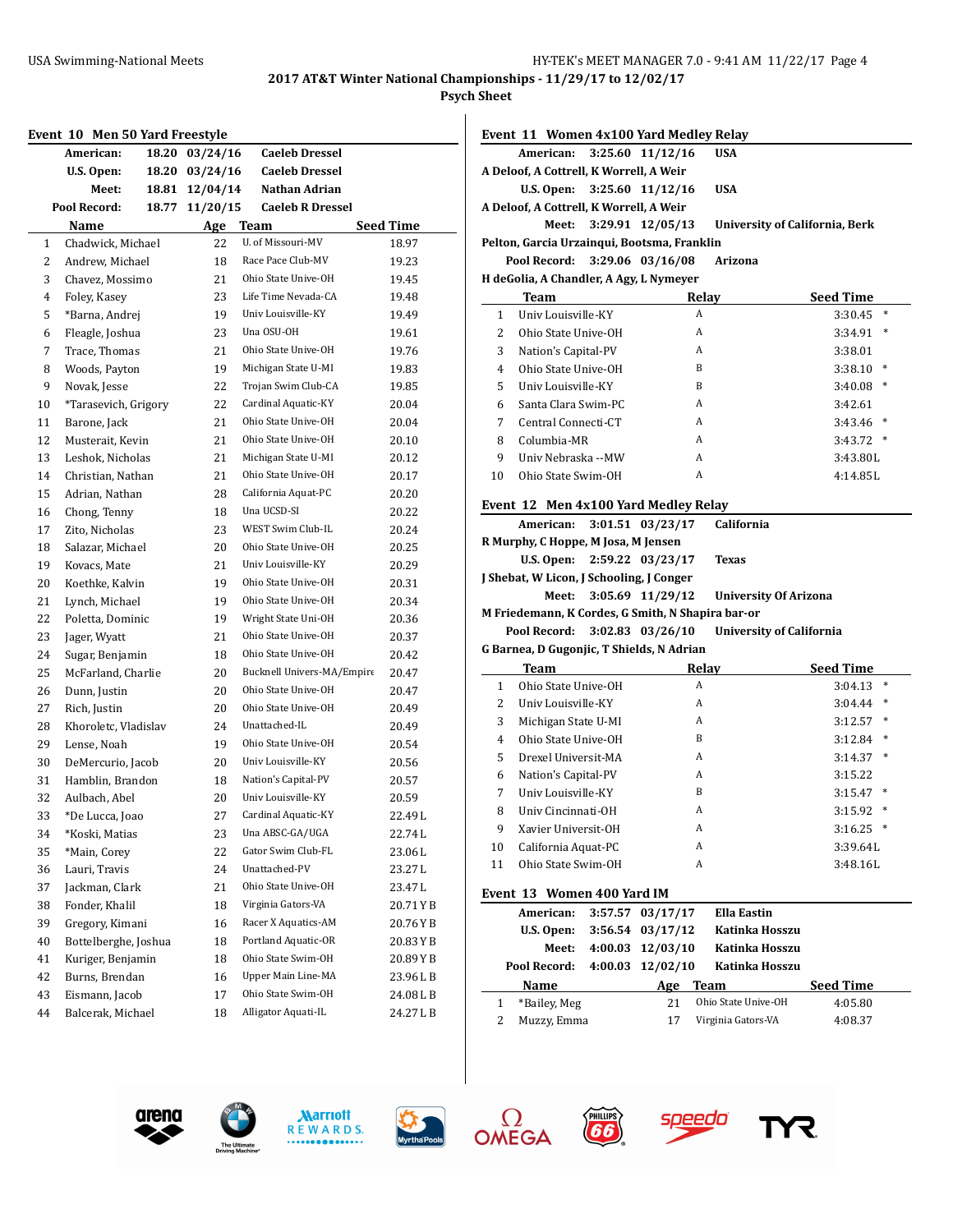#### **Psych Sheet**

|              | Event 10 Men 50 Yard Freestyle |       |          |                            |                  |
|--------------|--------------------------------|-------|----------|----------------------------|------------------|
|              | American:                      | 18.20 | 03/24/16 | <b>Caeleb Dressel</b>      |                  |
|              | U.S. Open:                     | 18.20 | 03/24/16 | <b>Caeleb Dressel</b>      |                  |
|              | Meet:                          | 18.81 | 12/04/14 | Nathan Adrian              |                  |
|              | Pool Record:                   | 18.77 | 11/20/15 | <b>Caeleb R Dressel</b>    |                  |
|              | Name                           |       | Age Team |                            | <b>Seed Time</b> |
| $\mathbf{1}$ | Chadwick, Michael              |       | 22       | U. of Missouri-MV          | 18.97            |
| 2            | Andrew, Michael                |       | 18       | Race Pace Club-MV          | 19.23            |
| 3            | Chavez, Mossimo                |       | 21       | Ohio State Unive-OH        | 19.45            |
| 4            | Foley, Kasey                   |       | 23       | Life Time Nevada-CA        | 19.48            |
| 5            | *Barna, Andrej                 |       | 19       | Univ Louisville-KY         | 19.49            |
| 6            | Fleagle, Joshua                |       | 23       | Una OSU-OH                 | 19.61            |
| 7            | Trace, Thomas                  |       | 21       | Ohio State Unive-OH        | 19.76            |
| 8            | Woods, Payton                  |       | 19       | Michigan State U-MI        | 19.83            |
| 9            | Novak, Jesse                   |       | 22       | Trojan Swim Club-CA        | 19.85            |
| 10           | *Tarasevich, Grigory           |       | 22       | Cardinal Aquatic-KY        | 20.04            |
| 11           | Barone, Jack                   |       | 21       | Ohio State Unive-OH        | 20.04            |
| 12           | Musterait, Kevin               |       | 21       | Ohio State Unive-OH        | 20.10            |
| 13           | Leshok, Nicholas               |       | 21       | Michigan State U-MI        | 20.12            |
| 14           | Christian, Nathan              |       | 21       | Ohio State Unive-OH        | 20.17            |
| 15           | Adrian, Nathan                 |       | 28       | California Aquat-PC        | 20.20            |
| 16           | Chong, Tenny                   |       | 18       | Una UCSD-SI                | 20.22            |
| 17           | Zito, Nicholas                 |       | 23       | WEST Swim Club-IL          | 20.24            |
| 18           | Salazar, Michael               |       | 20       | Ohio State Unive-OH        | 20.25            |
| 19           | Kovacs, Mate                   |       | 21       | Univ Louisville-KY         | 20.29            |
| 20           | Koethke, Kalvin                |       | 19       | Ohio State Unive-OH        | 20.31            |
| 21           | Lynch, Michael                 |       | 19       | Ohio State Unive-OH        | 20.34            |
| 22           | Poletta, Dominic               |       | 19       | Wright State Uni-OH        | 20.36            |
| 23           | Jager, Wyatt                   |       | 21       | Ohio State Unive-OH        | 20.37            |
| 24           | Sugar, Benjamin                |       | 18       | Ohio State Unive-OH        | 20.42            |
| 25           | McFarland, Charlie             |       | 20       | Bucknell Univers-MA/Empire | 20.47            |
| 26           | Dunn, Justin                   |       | 20       | Ohio State Unive-OH        | 20.47            |
| 27           | Rich, Justin                   |       | 20       | Ohio State Unive-OH        | 20.49            |
| 28           | Khoroletc, Vladislav           |       | 24       | Unattached-IL              | 20.49            |
| 29           | Lense, Noah                    |       | 19       | Ohio State Unive-OH        | 20.54            |
| 30           | DeMercurio, Jacob              |       | 20       | Univ Louisville-KY         | 20.56            |
| 31           | Hamblin, Brandon               |       | 18       | Nation's Capital-PV        | 20.57            |
| 32           | Aulbach, Abel                  |       | 20       | Univ Louisville-KY         | 20.59            |
| 33           | *De Lucca, Joao                |       | 27       | Cardinal Aquatic-KY        | 22.49 L          |
| 34           | *Koski, Matias                 |       | 23       | Una ABSC-GA/UGA            | 22.74L           |
| 35           | *Main, Corey                   |       | 22       | Gator Swim Club-FL         | 23.06L           |
| 36           | Lauri, Travis                  |       | 24       | Unattached-PV              | 23.27L           |
| 37           | Jackman, Clark                 |       | 21       | Ohio State Unive-OH        | 23.47L           |
| 38           | Fonder, Khalil                 |       | 18       | Virginia Gators-VA         | 20.71YB          |
| 39           | Gregory, Kimani                |       | 16       | Racer X Aquatics-AM        | 20.76YB          |
| 40           | Bottelberghe, Joshua           |       | 18       | Portland Aquatic-OR        | 20.83YB          |
| 41           | Kuriger, Benjamin              |       | 18       | Ohio State Swim-OH         | 20.89YB          |
| 42           | Burns, Brendan                 |       | 16       | Upper Main Line-MA         | 23.96LB          |
| 43           | Eismann, Jacob                 |       | 17       | Ohio State Swim-OH         | 24.08LB          |
| 44           | Balcerak, Michael              |       | 18       | Alligator Aquati-IL        | 24.27LB          |
|              |                                |       |          |                            |                  |

|               |                                         | Event 11 Women 4x100 Yard Medley Relay      |                                |                   |
|---------------|-----------------------------------------|---------------------------------------------|--------------------------------|-------------------|
|               | American: 3:25.60 11/12/16              |                                             | <b>USA</b>                     |                   |
|               | A Deloof, A Cottrell, K Worrell, A Weir |                                             |                                |                   |
|               | U.S. Open: $3:25.60$ 11/12/16           |                                             | <b>USA</b>                     |                   |
|               | A Deloof, A Cottrell, K Worrell, A Weir |                                             |                                |                   |
|               | Meet:                                   | 3:29.91 12/05/13                            | University of California, Berk |                   |
|               |                                         | Pelton, Garcia Urzainqui, Bootsma, Franklin |                                |                   |
|               | Pool Record:                            | 3:29.06 03/16/08                            | Arizona                        |                   |
|               | H deGolia, A Chandler, A Agy, L Nymeyer |                                             |                                |                   |
|               | Team                                    | Relay                                       | <b>Seed Time</b>               |                   |
|               |                                         |                                             |                                |                   |
| 1             | Univ Louisville-KY                      | A                                           |                                | $\ast$<br>3:30.45 |
| $\mathcal{L}$ | Ohio State Unive-OH                     | A                                           |                                | $\ast$<br>3:34.91 |
| 3             | Nation's Capital-PV                     | A                                           |                                | 3:38.01           |
| 4             | Ohio State Unive-OH                     | B                                           |                                | $\ast$<br>3:38.10 |
| 5             | Univ Louisville-KY                      | B                                           |                                | $\ast$<br>3:40.08 |
| 6             | Santa Clara Swim-PC                     | A                                           |                                | 3:42.61           |

#### **Event 12 Men 4x100 Yard Medley Relay**

|   |                                           |  | $\frac{1}{2}$ is the contract of $\frac{1}{2}$ . The contract $\frac{1}{2}$ |                              |                          |  |  |  |
|---|-------------------------------------------|--|-----------------------------------------------------------------------------|------------------------------|--------------------------|--|--|--|
|   |                                           |  | American: 3:01.51 03/23/17                                                  | California                   |                          |  |  |  |
|   | R Murphy, C Hoppe, M Josa, M Jensen       |  |                                                                             |                              |                          |  |  |  |
|   |                                           |  | U.S. Open: $2:59.22$ 03/23/17                                               | <b>Texas</b>                 |                          |  |  |  |
|   | J Shebat, W Licon, J Schooling, J Conger  |  |                                                                             |                              |                          |  |  |  |
|   |                                           |  | Meet: 3:05.69 11/29/12                                                      | <b>University Of Arizona</b> |                          |  |  |  |
|   |                                           |  | M Friedemann, K Cordes, G Smith, N Shapira bar-or                           |                              |                          |  |  |  |
|   | Pool Record: 3:02.83 03/26/10             |  |                                                                             |                              | University of California |  |  |  |
|   | G Barnea, D Gugonjic, T Shields, N Adrian |  |                                                                             |                              |                          |  |  |  |
|   | Team                                      |  | Relay                                                                       |                              | <b>Seed Time</b>         |  |  |  |
| 1 | Ohio State Unive-OH                       |  | A                                                                           |                              | ∗<br>3:04.13             |  |  |  |
|   | <b>Ilniv Louisville KV</b>                |  | А                                                                           |                              | 3.04.44                  |  |  |  |

8 Columbia-MR <br>A 3:43.72 \* 9 Univ Nebraska --MW <br>
A 3:43.80L Ohio State Swim-OH A 4:14.85L

| $\mathbf{I}$ | Ullio State Ullive-Un | $\mathbf{a}$ | U4.IJ             |
|--------------|-----------------------|--------------|-------------------|
| 2            | Univ Louisville-KY    | A            | $\ast$<br>3:04.44 |
| 3            | Michigan State U-MI   | A            | $\ast$<br>3:12.57 |
| 4            | Ohio State Unive-OH   | B            | $\ast$<br>3:12.84 |
| 5            | Drexel Universit-MA   | A            | $\ast$<br>3:14.37 |
| 6            | Nation's Capital-PV   | A            | 3:15.22           |
| 7            | Univ Louisville-KY    | B            | $\ast$<br>3:15.47 |
| 8            | Univ Cincinnati-OH    | A            | $\ast$<br>3:15.92 |
| 9            | Xavier Universit-OH   | A            | $\ast$<br>3:16.25 |
| 10           | California Aquat-PC   | A            | 3:39.64L          |
| 11           | Ohio State Swim-OH    | A            | 3:48.16L          |
|              |                       |              |                   |

#### **Event 13 Women 400 Yard IM**

| American:    | 3:57.57 03/17/17     | <b>Ella Eastin</b>  |                  |
|--------------|----------------------|---------------------|------------------|
| U.S. Open:   | $3:56.54$ $03/17/12$ | Katinka Hosszu      |                  |
| Meet:        | $4:00.03$ $12/03/10$ | Katinka Hosszu      |                  |
| Pool Record: | $4:00.03$ $12/02/10$ | Katinka Hosszu      |                  |
| Name         | Age                  | Team                | <b>Seed Time</b> |
| *Bailey, Meg | 21                   | Ohio State Unive-OH | 4:05.80          |
| Muzzy, Emma  |                      | Virginia Gators-VA  | 4:08.37          |









**FHILLIPS** 



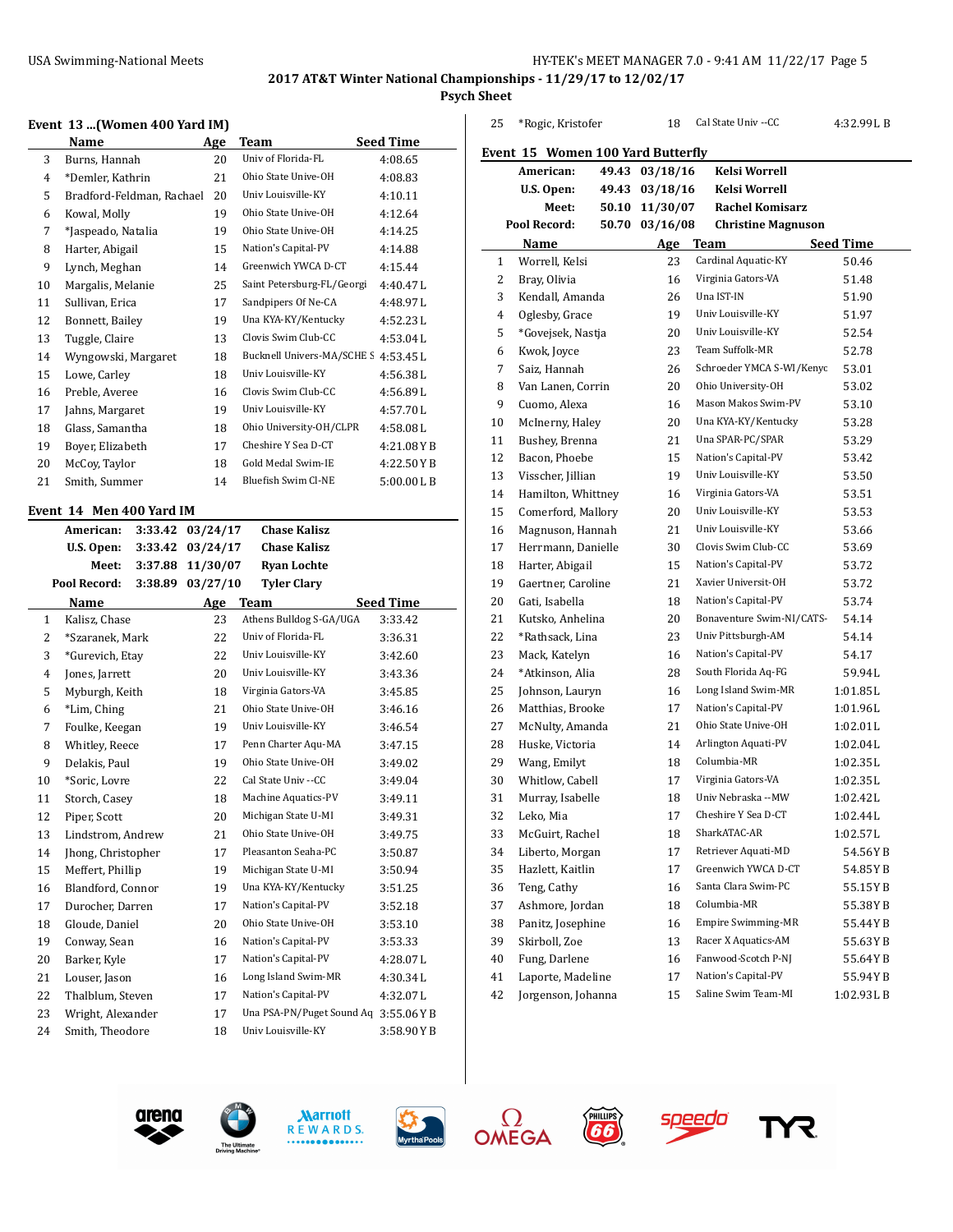#### USA Swimming-National Meets HY-TEK's MEET MANAGER 7.0 - 9:41 AM 11/22/17 Page 5

# **2017 AT&T Winter National Championships - 11/29/17 to 12/02/17**

**Psych Sheet**

#### **Event 13 ...(Women 400 Yard IM)**

|    | Name                      | Age | <b>Team</b>                | <b>Seed Time</b> |
|----|---------------------------|-----|----------------------------|------------------|
| 3  | Burns, Hannah             | 20  | Univ of Florida-FL         | 4:08.65          |
| 4  | *Demler, Kathrin          | 21  | Ohio State Unive-OH        | 4:08.83          |
| 5  | Bradford-Feldman, Rachael | 20  | Univ Louisville-KY         | 4:10.11          |
| 6  | Kowal, Molly              | 19  | Ohio State Unive-OH        | 4:12.64          |
| 7  | *Jaspeado, Natalia        | 19  | Ohio State Unive-OH        | 4:14.25          |
| 8  | Harter, Abigail           | 15  | Nation's Capital-PV        | 4:14.88          |
| 9  | Lynch, Meghan             | 14  | Greenwich YWCA D-CT        | 4:15.44          |
| 10 | Margalis, Melanie         | 25  | Saint Petersburg-FL/Georgi | 4:40.47L         |
| 11 | Sullivan, Erica           | 17  | Sandpipers Of Ne-CA        | 4:48.97L         |
| 12 | Bonnett, Bailey           | 19  | Una KYA-KY/Kentucky        | 4:52.23L         |
| 13 | Tuggle, Claire            | 13  | Clovis Swim Club-CC        | 4:53.04L         |
| 14 | Wyngowski, Margaret       | 18  | Bucknell Univers-MA/SCHE S | 4:53.45L         |
| 15 | Lowe, Carley              | 18  | Univ Louisville-KY         | 4:56.38L         |
| 16 | Preble, Averee            | 16  | Clovis Swim Club-CC        | 4:56.89L         |
| 17 | Jahns, Margaret           | 19  | Univ Louisville-KY         | 4:57.70L         |
| 18 | Glass, Samantha           | 18  | Ohio University-OH/CLPR    | 4:58.08L         |
| 19 | Boyer, Elizabeth          | 17  | Cheshire Y Sea D-CT        | 4:21.08YB        |
| 20 | McCoy, Taylor             | 18  | Gold Medal Swim-IE         | 4:22.50YB        |
| 21 | Smith, Summer             | 14  | <b>Bluefish Swim Cl-NE</b> | 5:00.00LB        |
|    |                           |     |                            |                  |

## **Event 14 Men 400 Yard IM**

|              | American:          | 3:33.42 | 03/24/17 | <b>Chase Kalisz</b>       |                  |
|--------------|--------------------|---------|----------|---------------------------|------------------|
|              | U.S. Open:         | 3:33.42 | 03/24/17 | <b>Chase Kalisz</b>       |                  |
|              | Meet:              | 3:37.88 | 11/30/07 | <b>Ryan Lochte</b>        |                  |
|              | Pool Record:       | 3:38.89 | 03/27/10 | <b>Tyler Clary</b>        |                  |
|              | Name               |         | Age      | <b>Team</b>               | <b>Seed Time</b> |
| $\mathbf{1}$ | Kalisz, Chase      |         | 23       | Athens Bulldog S-GA/UGA   | 3:33.42          |
| 2            | *Szaranek, Mark    |         | 22       | Univ of Florida-FL        | 3:36.31          |
| 3            | *Gurevich, Etay    |         | 22       | Univ Louisville-KY        | 3:42.60          |
| 4            | Jones, Jarrett     |         | 20       | Univ Louisville-KY        | 3:43.36          |
| 5            | Myburgh, Keith     |         | 18       | Virginia Gators-VA        | 3:45.85          |
| 6            | *Lim, Ching        |         | 21       | Ohio State Unive-OH       | 3:46.16          |
| 7            | Foulke, Keegan     |         | 19       | Univ Louisville-KY        | 3:46.54          |
| 8            | Whitley, Reece     |         | 17       | Penn Charter Aqu-MA       | 3:47.15          |
| 9            | Delakis, Paul      |         | 19       | Ohio State Unive-OH       | 3:49.02          |
| 10           | *Soric, Lovre      |         | 22       | Cal State Univ --CC       | 3:49.04          |
| 11           | Storch, Casey      |         | 18       | Machine Aquatics-PV       | 3:49.11          |
| 12           | Piper, Scott       |         | 20       | Michigan State U-MI       | 3:49.31          |
| 13           | Lindstrom, Andrew  |         | 21       | Ohio State Unive-OH       | 3:49.75          |
| 14           | Jhong, Christopher |         | 17       | Pleasanton Seaha-PC       | 3:50.87          |
| 15           | Meffert, Phillip   |         | 19       | Michigan State U-MI       | 3:50.94          |
| 16           | Blandford, Connor  |         | 19       | Una KYA-KY/Kentucky       | 3:51.25          |
| 17           | Durocher, Darren   |         | 17       | Nation's Capital-PV       | 3:52.18          |
| 18           | Gloude, Daniel     |         | 20       | Ohio State Unive-OH       | 3:53.10          |
| 19           | Conway, Sean       |         | 16       | Nation's Capital-PV       | 3:53.33          |
| 20           | Barker, Kyle       |         | 17       | Nation's Capital-PV       | 4:28.07L         |
| 21           | Louser, Jason      |         | 16       | Long Island Swim-MR       | 4:30.34L         |
| 22           | Thalblum, Steven   |         | 17       | Nation's Capital-PV       | 4:32.07L         |
| 23           | Wright, Alexander  |         | 17       | Una PSA-PN/Puget Sound Aq | 3:55.06YB        |
| 24           | Smith, Theodore    |         | 18       | Univ Louisville-KY        | 3:58.90YB        |

| 25           | *Rogic, Kristofer                        |       | 18             | Cal State Univ -- CC      | 4:32.99 L B      |
|--------------|------------------------------------------|-------|----------------|---------------------------|------------------|
|              | <b>Event 15 Women 100 Yard Butterfly</b> |       |                |                           |                  |
|              | American:                                |       | 49.43 03/18/16 | <b>Kelsi Worrell</b>      |                  |
|              | U.S. Open:                               |       | 49.43 03/18/16 | Kelsi Worrell             |                  |
|              | Meet:                                    | 50.10 | 11/30/07       | <b>Rachel Komisarz</b>    |                  |
|              | Pool Record:                             | 50.70 | 03/16/08       | <b>Christine Magnuson</b> |                  |
|              | Name                                     |       |                | Age Team                  | <b>Seed Time</b> |
| $\mathbf{1}$ | Worrell, Kelsi                           |       | 23             | Cardinal Aquatic-KY       | 50.46            |
| 2            | Bray, Olivia                             |       | 16             | Virginia Gators-VA        | 51.48            |
| 3            | Kendall, Amanda                          |       | 26             | Una IST-IN                | 51.90            |
| 4            | Oglesby, Grace                           |       | 19             | Univ Louisville-KY        | 51.97            |
| 5            | *Govejsek, Nastja                        |       | 20             | Univ Louisville-KY        | 52.54            |
| 6            | Kwok, Joyce                              |       | 23             | Team Suffolk-MR           | 52.78            |
| 7            | Saiz, Hannah                             |       | 26             | Schroeder YMCA S-WI/Kenyc | 53.01            |
| 8            | Van Lanen, Corrin                        |       | 20             | Ohio University-OH        | 53.02            |
| 9            | Cuomo, Alexa                             |       | 16             | Mason Makos Swim-PV       | 53.10            |
| 10           | McInerny, Haley                          |       | 20             | Una KYA-KY/Kentucky       | 53.28            |
| 11           | Bushey, Brenna                           |       | 21             | Una SPAR-PC/SPAR          | 53.29            |
| 12           | Bacon, Phoebe                            |       | 15             | Nation's Capital-PV       | 53.42            |
| 13           | Visscher, Jillian                        |       | 19             | Univ Louisville-KY        | 53.50            |
| 14           | Hamilton, Whittney                       |       | 16             | Virginia Gators-VA        | 53.51            |
| 15           | Comerford, Mallory                       |       | 20             | Univ Louisville-KY        | 53.53            |
| 16           | Magnuson, Hannah                         |       | 21             | Univ Louisville-KY        | 53.66            |
| 17           | Herrmann, Danielle                       |       | 30             | Clovis Swim Club-CC       | 53.69            |
| 18           | Harter, Abigail                          |       | 15             | Nation's Capital-PV       | 53.72            |
| 19           | Gaertner, Caroline                       |       | 21             | Xavier Universit-OH       | 53.72            |
| 20           | Gati, Isabella                           |       | 18             | Nation's Capital-PV       | 53.74            |
| 21           | Kutsko, Anhelina                         |       | 20             | Bonaventure Swim-NI/CATS- | 54.14            |
| 22           | *Rathsack, Lina                          |       | 23             | Univ Pittsburgh-AM        | 54.14            |
| 23           | Mack, Katelyn                            |       | 16             | Nation's Capital-PV       | 54.17            |
| 24           | *Atkinson, Alia                          |       | 28             | South Florida Aq-FG       | 59.94L           |
| 25           | Johnson, Lauryn                          |       | 16             | Long Island Swim-MR       | 1:01.85L         |
| 26           | Matthias, Brooke                         |       | 17             | Nation's Capital-PV       | 1:01.96L         |
| 27           | McNulty, Amanda                          |       | 21             | Ohio State Unive-OH       | 1:02.01L         |
| 28           | Huske, Victoria                          |       | 14             | Arlington Aquati-PV       | 1:02.04L         |
| 29           | Wang, Emilyt                             |       | 18             | Columbia-MR               | 1:02.35L         |
| 30           | Whitlow, Cabell                          |       | 17             | Virginia Gators-VA        | 1:02.35L         |
| 31           | Murray, Isabelle                         |       | 18             | Univ Nebraska --MW        | 1:02.42L         |
| 32           | Leko, Mia                                |       | 17             | Cheshire Y Sea D-CT       | 1:02.44L         |
| 33           | McGuirt, Rachel                          |       | 18             | SharkATAC-AR              | 1:02.57L         |
| 34           | Liberto, Morgan                          |       | 17             | Retriever Aquati-MD       | 54.56YB          |
| 35           | Hazlett, Kaitlin                         |       | 17             | Greenwich YWCA D-CT       | 54.85 Y B        |
| 36           | Teng, Cathy                              |       | 16             | Santa Clara Swim-PC       | 55.15 Y B        |
| 37           | Ashmore, Jordan                          |       | 18             | Columbia-MR               | 55.38YB          |
| 38           | Panitz, Josephine                        |       | 16             | Empire Swimming-MR        | 55.44YB          |
| 39           | Skirboll, Zoe                            |       | 13             | Racer X Aquatics-AM       | 55.63YB          |
| 40           | Fung, Darlene                            |       | 16             | Fanwood-Scotch P-NJ       | 55.64YB          |
| 41           | Laporte, Madeline                        |       | 17             | Nation's Capital-PV       | 55.94 Y B        |
| 42           | Jorgenson, Johanna                       |       | 15             | Saline Swim Team-MI       | 1:02.93LB        |











**FIELLIPS** 

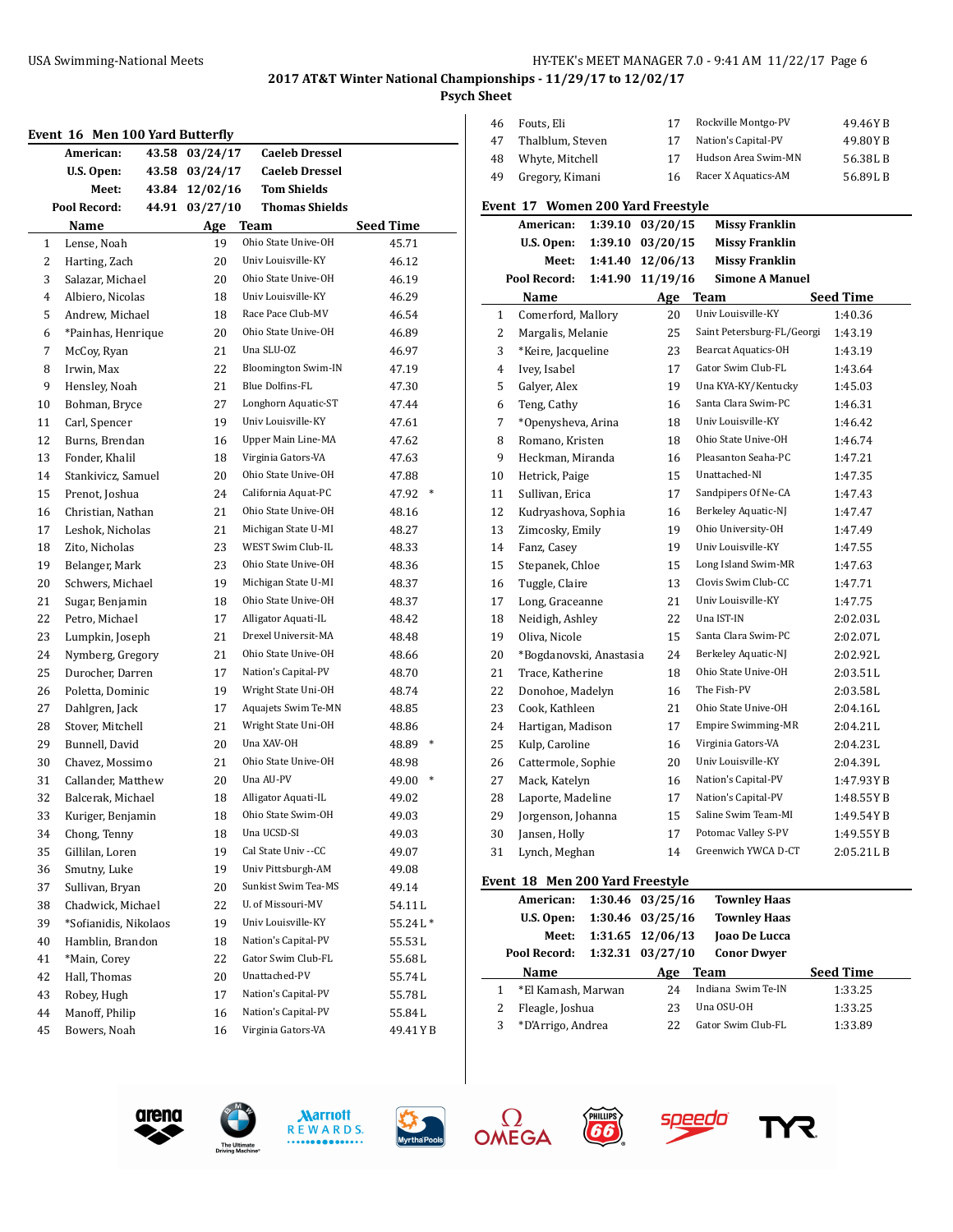**Psych Sheet**

|              | Event 16 Men 100 Yard Butterfly |                |                            |                 |
|--------------|---------------------------------|----------------|----------------------------|-----------------|
|              | American:                       | 43.58 03/24/17 | <b>Caeleb Dressel</b>      |                 |
|              | U.S. Open:                      | 43.58 03/24/17 | <b>Caeleb Dressel</b>      |                 |
|              | Meet:                           | 43.84 12/02/16 | <b>Tom Shields</b>         |                 |
|              | Pool Record:                    | 44.91 03/27/10 | <b>Thomas Shields</b>      |                 |
|              | Name                            | Age            | <b>Team</b>                | Seed Time       |
| $\mathbf{1}$ | Lense, Noah                     | 19             | Ohio State Unive-OH        | 45.71           |
| 2            | Harting, Zach                   | 20             | Univ Louisville-KY         | 46.12           |
| 3            | Salazar, Michael                | 20             | Ohio State Unive-OH        | 46.19           |
| 4            | Albiero, Nicolas                | 18             | Univ Louisville-KY         | 46.29           |
| 5            | Andrew, Michael                 | 18             | Race Pace Club-MV          | 46.54           |
| 6            | *Painhas, Henrique              | 20             | Ohio State Unive-OH        | 46.89           |
| 7            | McCoy, Ryan                     | 21             | Una SLU-OZ                 | 46.97           |
| 8            | Irwin, Max                      | 22             | <b>Bloomington Swim-IN</b> | 47.19           |
| 9            | Hensley, Noah                   | 21             | Blue Dolfins-FL            | 47.30           |
| 10           | Bohman, Bryce                   | 27             | Longhorn Aquatic-ST        | 47.44           |
| 11           | Carl, Spencer                   | 19             | Univ Louisville-KY         | 47.61           |
| 12           | Burns, Brendan                  | 16             | Upper Main Line-MA         | 47.62           |
| 13           | Fonder, Khalil                  | 18             | Virginia Gators-VA         | 47.63           |
| 14           | Stankivicz, Samuel              | 20             | Ohio State Unive-OH        | 47.88           |
| 15           | Prenot, Joshua                  | 24             | California Aquat-PC        | 47.92<br>∗      |
| 16           | Christian, Nathan               | 21             | Ohio State Unive-OH        | 48.16           |
| 17           | Leshok, Nicholas                | 21             | Michigan State U-MI        | 48.27           |
| 18           | Zito, Nicholas                  | 23             | WEST Swim Club-IL          | 48.33           |
| 19           | Belanger, Mark                  | 23             | Ohio State Unive-OH        | 48.36           |
| 20           | Schwers, Michael                | 19             | Michigan State U-MI        | 48.37           |
| 21           | Sugar, Benjamin                 | 18             | Ohio State Unive-OH        | 48.37           |
| 22           | Petro, Michael                  | 17             | Alligator Aquati-IL        | 48.42           |
| 23           | Lumpkin, Joseph                 | 21             | Drexel Universit-MA        | 48.48           |
| 24           | Nymberg, Gregory                | 21             | Ohio State Unive-OH        | 48.66           |
| 25           | Durocher, Darren                | 17             | Nation's Capital-PV        | 48.70           |
| 26           | Poletta, Dominic                | 19             | Wright State Uni-OH        | 48.74           |
| 27           | Dahlgren, Jack                  | 17             | Aquajets Swim Te-MN        | 48.85           |
| 28           | Stover, Mitchell                | 21             | Wright State Uni-OH        | 48.86           |
| 29           | Bunnell, David                  | 20             | Una XAV-OH                 | $\ast$<br>48.89 |
| 30           | Chavez, Mossimo                 | 21             | Ohio State Unive-OH        | 48.98           |
| 31           | Callander, Matthew              | 20             | Una AU-PV                  | $\ast$<br>49.00 |
| 32           | Balcerak, Michael               | 18             | Alligator Aquati-IL        | 49.02           |
| 33           | Kuriger, Benjamin               | 18             | Ohio State Swim-OH         | 49.03           |
| 34           | Chong, Tenny                    | 18             | Una UCSD-SI                | 49.03           |
| 35           | Gillilan, Loren                 | 19             | Cal State Univ -- CC       | 49.07           |
| 36           | Smutny, Luke                    | 19             | Univ Pittsburgh-AM         | 49.08           |
| 37           | Sullivan, Bryan                 | 20             | Sunkist Swim Tea-MS        | 49.14           |
| 38           | Chadwick, Michael               | 22             | U. of Missouri-MV          | 54.11L          |
| 39           | *Sofianidis, Nikolaos           | 19             | Univ Louisville-KY         | 55.24L*         |
| 40           | Hamblin, Brandon                | 18             | Nation's Capital-PV        | 55.53L          |
| 41           | *Main, Corey                    | 22             | Gator Swim Club-FL         | 55.68L          |
| 42           | Hall, Thomas                    | 20             | Unattached-PV              | 55.74L          |
| 43           | Robey, Hugh                     | 17             | Nation's Capital-PV        | 55.78L          |
| 44           | Manoff, Philip                  | 16             | Nation's Capital-PV        | 55.84L          |
| 45           | Bowers, Noah                    | 16             | Virginia Gators-VA         | 49.41 Y B       |

| 46       | Fouts, Eli                         |         | 17               | Rockville Montgo-PV        | 49.46YB                     |
|----------|------------------------------------|---------|------------------|----------------------------|-----------------------------|
| 47       | Thalblum, Steven                   |         | 17               | Nation's Capital-PV        | 49.80YB                     |
| 48       | Whyte, Mitchell                    |         | 17               | Hudson Area Swim-MN        | 56.38LB                     |
| 49       | Gregory, Kimani                    |         | 16               | Racer X Aquatics-AM        | 56.89LB                     |
|          |                                    |         |                  |                            |                             |
|          | Event 17 Women 200 Yard Freestyle  |         |                  |                            |                             |
|          | American:                          | 1:39.10 | 03/20/15         | <b>Missy Franklin</b>      |                             |
|          | U.S. Open:                         | 1:39.10 | 03/20/15         | <b>Missy Franklin</b>      |                             |
|          | Meet:                              | 1:41.40 | 12/06/13         | <b>Missy Franklin</b>      |                             |
|          | Pool Record:                       | 1:41.90 | 11/19/16         | <b>Simone A Manuel</b>     |                             |
| 1        | Name<br>Comerford, Mallory         |         | Age<br>20        | Team<br>Univ Louisville-KY | <b>Seed Time</b><br>1:40.36 |
| 2        |                                    |         | 25               | Saint Petersburg-FL/Georgi | 1:43.19                     |
| 3        | Margalis, Melanie                  |         | 23               | <b>Bearcat Aquatics-OH</b> |                             |
| 4        | *Keire, Jacqueline                 |         | 17               | Gator Swim Club-FL         | 1:43.19                     |
|          | Ivey, Isabel                       |         |                  | Una KYA-KY/Kentucky        | 1:43.64                     |
| 5        | Galyer, Alex                       |         | 19               | Santa Clara Swim-PC        | 1:45.03                     |
| 6        | Teng, Cathy                        |         | 16               | Univ Louisville-KY         | 1:46.31                     |
| 7        | *Openysheva, Arina                 |         | 18               | Ohio State Unive-OH        | 1:46.42                     |
| 8        | Romano, Kristen                    |         | 18               | Pleasanton Seaha-PC        | 1:46.74                     |
| 9        | Heckman, Miranda                   |         | 16               | Unattached-NI              | 1:47.21                     |
| 10       | Hetrick, Paige                     |         | 15               | Sandpipers Of Ne-CA        | 1:47.35                     |
| 11       | Sullivan, Erica                    |         | 17               | Berkeley Aquatic-NJ        | 1:47.43                     |
| 12       | Kudryashova, Sophia                |         | 16               | Ohio University-OH         | 1:47.47                     |
| 13       | Zimcosky, Emily                    |         | 19               | Univ Louisville-KY         | 1:47.49                     |
| 14       | Fanz, Casey                        |         | 19               | Long Island Swim-MR        | 1:47.55                     |
| 15<br>16 | Stepanek, Chloe                    |         | 15<br>13         | Clovis Swim Club-CC        | 1:47.63<br>1:47.71          |
| 17       | Tuggle, Claire                     |         | 21               | Univ Louisville-KY         | 1:47.75                     |
|          | Long, Graceanne                    |         |                  | Una IST-IN                 |                             |
| 18       | Neidigh, Ashley                    |         | 22<br>15         | Santa Clara Swim-PC        | 2:02.03L                    |
| 19<br>20 | Oliva, Nicole                      |         | 24               | Berkeley Aquatic-NJ        | 2:02.07L<br>2:02.92L        |
| 21       | *Bogdanovski, Anastasia            |         | 18               | Ohio State Unive-OH        | 2:03.51L                    |
| 22       | Trace, Katherine                   |         | 16               | The Fish-PV                | 2:03.58L                    |
| 23       | Donohoe, Madelyn<br>Cook, Kathleen |         | 21               | Ohio State Unive-OH        | 2:04.16L                    |
| 24       | Hartigan, Madison                  |         | 17               | <b>Empire Swimming-MR</b>  | 2:04.21L                    |
| 25       | Kulp, Caroline                     |         | 16               | Virginia Gators-VA         | 2:04.23L                    |
| 26       | Cattermole, Sophie                 |         | 20               | Univ Louisville-KY         | 2:04.39L                    |
| 27       | Mack, Katelyn                      |         | 16               | Nation's Capital-PV        | 1:47.93YB                   |
| 28       | Laporte, Madeline                  |         | 17               | Nation's Capital-PV        | 1:48.55 Y B                 |
| 29       | Jorgenson, Johanna                 |         | 15               | Saline Swim Team-MI        | 1:49.54YB                   |
| 30       | Jansen, Holly                      |         | 17               | Potomac Valley S-PV        | 1:49.55YB                   |
| 31       | Lynch, Meghan                      |         | 14               | Greenwich YWCA D-CT        | 2:05.21LB                   |
|          |                                    |         |                  |                            |                             |
|          | Event 18 Men 200 Yard Freestyle    |         |                  |                            |                             |
|          | American:                          |         | 1:30.46 03/25/16 | <b>Townley Haas</b>        |                             |

|   | $A$ lliel Itali: 1:50.40 03/23/10 |                      | TOWILLEY HAAS       |                  |  |
|---|-----------------------------------|----------------------|---------------------|------------------|--|
|   | U.S. Open:                        | 1:30.46 03/25/16     | <b>Townley Haas</b> |                  |  |
|   | Meet:                             | $1:31.65$ $12/06/13$ | Joao De Lucca       |                  |  |
|   | Pool Record:                      | $1:32.31$ $03/27/10$ | <b>Conor Dwyer</b>  |                  |  |
|   |                                   |                      |                     |                  |  |
|   | <b>Name</b>                       | Age                  | <b>Team</b>         | <b>Seed Time</b> |  |
|   | *El Kamash, Marwan                | 24                   | Indiana Swim Te-IN  | 1:33.25          |  |
|   | Fleagle, Joshua                   | 23                   | Una OSU-OH          | 1:33.25          |  |
| 3 | *D'Arrigo, Andrea                 | 22                   | Gator Swim Club-FL  | 1:33.89          |  |









**FIELDS** 



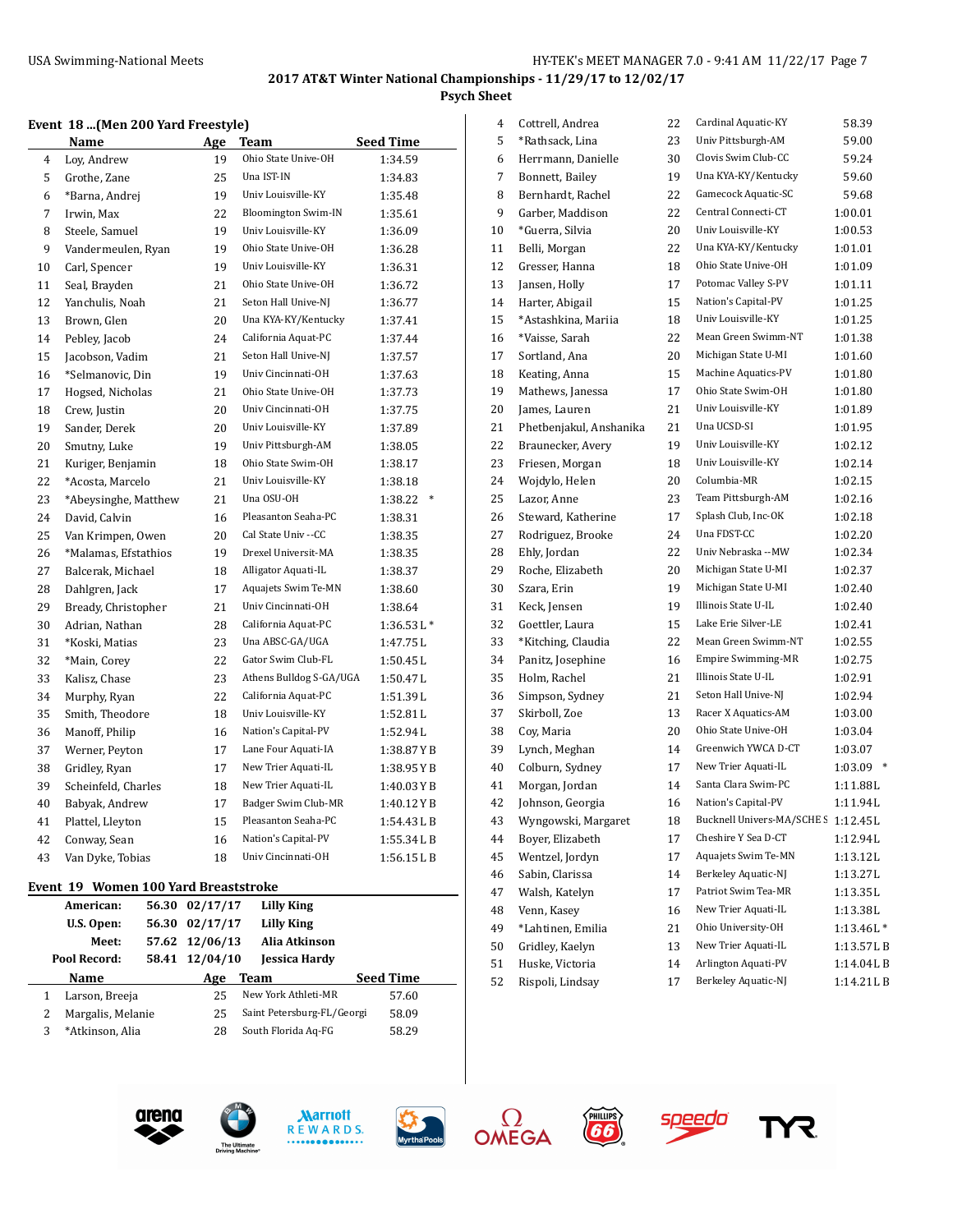# **2017 AT&T Winter National Championships - 11/29/17 to 12/02/17 Psych Sheet**

#### **Event 18 ...(Men 200 Yard Freestyle)**

|                | <b>Name</b>          | Age | Team                       | <b>Seed Time</b> |
|----------------|----------------------|-----|----------------------------|------------------|
| $\overline{4}$ | Loy, Andrew          | 19  | Ohio State Unive-OH        | 1:34.59          |
| 5              | Grothe, Zane         | 25  | Una IST-IN                 | 1:34.83          |
| 6              | *Barna, Andrej       | 19  | Univ Louisville-KY         | 1:35.48          |
| 7              | Irwin, Max           | 22  | <b>Bloomington Swim-IN</b> | 1:35.61          |
| 8              | Steele, Samuel       | 19  | Univ Louisville-KY         | 1:36.09          |
| 9              | Vandermeulen, Ryan   | 19  | Ohio State Unive-OH        | 1:36.28          |
| 10             | Carl, Spencer        | 19  | Univ Louisville-KY         | 1:36.31          |
| 11             | Seal, Brayden        | 21  | Ohio State Unive-OH        | 1:36.72          |
| 12             | Yanchulis, Noah      | 21  | Seton Hall Unive-NJ        | 1:36.77          |
| 13             | Brown, Glen          | 20  | Una KYA-KY/Kentucky        | 1:37.41          |
| 14             | Pebley, Jacob        | 24  | California Aquat-PC        | 1:37.44          |
| 15             | Jacobson, Vadim      | 21  | Seton Hall Unive-NJ        | 1:37.57          |
| 16             | *Selmanovic, Din     | 19  | Univ Cincinnati-OH         | 1:37.63          |
| 17             | Hogsed, Nicholas     | 21  | Ohio State Unive-OH        | 1:37.73          |
| 18             | Crew, Justin         | 20  | Univ Cincinnati-OH         | 1:37.75          |
| 19             | Sander, Derek        | 20  | Univ Louisville-KY         | 1:37.89          |
| 20             | Smutny, Luke         | 19  | Univ Pittsburgh-AM         | 1:38.05          |
| 21             | Kuriger, Benjamin    | 18  | Ohio State Swim-OH         | 1:38.17          |
| 22             | *Acosta, Marcelo     | 21  | Univ Louisville-KY         | 1:38.18          |
| 23             | *Abeysinghe, Matthew | 21  | Una OSU-OH                 | 1:38.22          |
| 24             | David, Calvin        | 16  | Pleasanton Seaha-PC        | 1:38.31          |
| 25             | Van Krimpen, Owen    | 20  | Cal State Univ --CC        | 1:38.35          |
| 26             | *Malamas, Efstathios | 19  | Drexel Universit-MA        | 1:38.35          |
| 27             | Balcerak, Michael    | 18  | Alligator Aquati-IL        | 1:38.37          |
| 28             | Dahlgren, Jack       | 17  | Aquajets Swim Te-MN        | 1:38.60          |
| 29             | Bready, Christopher  | 21  | Univ Cincinnati-OH         | 1:38.64          |
| 30             | Adrian, Nathan       | 28  | California Aquat-PC        | $1:36.53L*$      |
| 31             | *Koski, Matias       | 23  | Una ABSC-GA/UGA            | 1:47.75L         |
| 32             | *Main, Corey         | 22  | Gator Swim Club-FL         | 1:50.45L         |
| 33             | Kalisz, Chase        | 23  | Athens Bulldog S-GA/UGA    | 1:50.47L         |
| 34             | Murphy, Ryan         | 22  | California Aquat-PC        | 1:51.39L         |
| 35             | Smith, Theodore      | 18  | Univ Louisville-KY         | 1:52.81L         |
| 36             | Manoff, Philip       | 16  | Nation's Capital-PV        | 1:52.94L         |
| 37             | Werner, Peyton       | 17  | Lane Four Aquati-IA        | 1:38.87YB        |
| 38             | Gridley, Ryan        | 17  | New Trier Aquati-IL        | 1:38.95 Y B      |
| 39             | Scheinfeld, Charles  | 18  | New Trier Aquati-IL        | 1:40.03YB        |
| 40             | Babyak, Andrew       | 17  | Badger Swim Club-MR        | 1:40.12YB        |
| 41             | Plattel, Lleyton     | 15  | Pleasanton Seaha-PC        | 1:54.43LB        |
| 42             | Conway, Sean         | 16  | Nation's Capital-PV        | 1:55.34LB        |
| 43             | Van Dyke, Tobias     | 18  | Univ Cincinnati-OH         | 1:56.15LB        |

#### **Event 19 Women 100 Yard Breaststroke**

|   | American:         | 56.30 | 02/17/17       | Lilly King                 |                  |
|---|-------------------|-------|----------------|----------------------------|------------------|
|   | U.S. Open:        | 56.30 | 02/17/17       | <b>Lilly King</b>          |                  |
|   | Meet:             |       | 57.62 12/06/13 | Alia Atkinson              |                  |
|   | Pool Record:      | 58.41 | 12/04/10       | <b>Jessica Hardy</b>       |                  |
|   |                   |       |                |                            |                  |
|   | <b>Name</b>       |       | Age            | Team                       | <b>Seed Time</b> |
|   | Larson, Breeja    |       | 25             | New York Athleti-MR        | 57.60            |
|   | Margalis, Melanie |       | 25             | Saint Petersburg-FL/Georgi | 58.09            |
| 3 | *Atkinson, Alia   |       | 28             | South Florida Aq-FG        | 58.29            |

| 4  | Cottrell, Andrea        | 22 | Cardinal Aquatic-KY                 | 58.39       |
|----|-------------------------|----|-------------------------------------|-------------|
| 5  | *Rathsack, Lina         | 23 | Univ Pittsburgh-AM                  | 59.00       |
| 6  | Herrmann, Danielle      | 30 | Clovis Swim Club-CC                 | 59.24       |
| 7  | Bonnett, Bailey         | 19 | Una KYA-KY/Kentucky                 | 59.60       |
| 8  | Bernhardt, Rachel       | 22 | Gamecock Aquatic-SC                 | 59.68       |
| 9  | Garber, Maddison        | 22 | Central Connecti-CT                 | 1:00.01     |
| 10 | *Guerra, Silvia         | 20 | Univ Louisville-KY                  | 1:00.53     |
| 11 | Belli, Morgan           | 22 | Una KYA-KY/Kentucky                 | 1:01.01     |
| 12 | Gresser, Hanna          | 18 | Ohio State Unive-OH                 | 1:01.09     |
| 13 | Jansen, Holly           | 17 | Potomac Valley S-PV                 | 1:01.11     |
| 14 | Harter, Abigail         | 15 | Nation's Capital-PV                 | 1:01.25     |
| 15 | *Astashkina, Mariia     | 18 | Univ Louisville-KY                  | 1:01.25     |
| 16 | *Vaisse, Sarah          | 22 | Mean Green Swimm-NT                 | 1:01.38     |
| 17 | Sortland, Ana           | 20 | Michigan State U-MI                 | 1:01.60     |
| 18 | Keating, Anna           | 15 | Machine Aquatics-PV                 | 1:01.80     |
| 19 | Mathews, Janessa        | 17 | Ohio State Swim-OH                  | 1:01.80     |
| 20 | James, Lauren           | 21 | Univ Louisville-KY                  | 1:01.89     |
| 21 | Phetbenjakul, Anshanika | 21 | Una UCSD-SI                         | 1:01.95     |
| 22 | Braunecker, Avery       | 19 | Univ Louisville-KY                  | 1:02.12     |
| 23 | Friesen, Morgan         | 18 | Univ Louisville-KY                  | 1:02.14     |
| 24 | Wojdylo, Helen          | 20 | Columbia-MR                         | 1:02.15     |
| 25 | Lazor, Anne             | 23 | Team Pittsburgh-AM                  | 1:02.16     |
| 26 | Steward, Katherine      | 17 | Splash Club, Inc-OK                 | 1:02.18     |
| 27 | Rodriguez, Brooke       | 24 | Una FDST-CC                         | 1:02.20     |
| 28 | Ehly, Jordan            | 22 | Univ Nebraska --MW                  | 1:02.34     |
| 29 | Roche, Elizabeth        | 20 | Michigan State U-MI                 | 1:02.37     |
| 30 | Szara, Erin             | 19 | Michigan State U-MI                 | 1:02.40     |
| 31 | Keck, Jensen            | 19 | Illinois State U-IL                 | 1:02.40     |
| 32 | Goettler, Laura         | 15 | Lake Erie Silver-LE                 | 1:02.41     |
| 33 | *Kitching, Claudia      | 22 | Mean Green Swimm-NT                 | 1:02.55     |
| 34 | Panitz, Josephine       | 16 | Empire Swimming-MR                  | 1:02.75     |
| 35 | Holm, Rachel            | 21 | Illinois State U-IL                 | 1:02.91     |
| 36 | Simpson, Sydney         | 21 | Seton Hall Unive-NJ                 | 1:02.94     |
| 37 | Skirboll, Zoe           | 13 | Racer X Aquatics-AM                 | 1:03.00     |
| 38 | Coy, Maria              | 20 | Ohio State Unive-OH                 | 1:03.04     |
| 39 | Lynch, Meghan           | 14 | Greenwich YWCA D-CT                 | 1:03.07     |
| 40 | Colburn, Sydney         | 17 | New Trier Aquati-IL                 | 1:03.09     |
| 41 | Morgan, Jordan          | 14 | Santa Clara Swim-PC                 | 1:11.88L    |
| 42 | Johnson, Georgia        | 16 | Nation's Capital-PV                 | 1:11.94L    |
| 43 | Wyngowski, Margaret     | 18 | Bucknell Univers-MA/SCHE S 1:12.45L |             |
| 44 | Boyer, Elizabeth        | 17 | Cheshire Y Sea D-CT                 | 1:12.94L    |
| 45 | Wentzel, Jordyn         | 17 | Aquajets Swim Te-MN                 | 1:13.12L    |
| 46 | Sabin, Clarissa         | 14 | Berkeley Aquatic-NJ                 | 1:13.27L    |
| 47 | Walsh, Katelyn          | 17 | Patriot Swim Tea-MR                 | 1:13.35L    |
| 48 | Venn, Kasey             | 16 | New Trier Aquati-IL                 | 1:13.38L    |
| 49 | *Lahtinen, Emilia       | 21 | Ohio University-OH                  | $1:13.46L*$ |
| 50 | Gridley, Kaelyn         | 13 | New Trier Aquati-IL                 | 1:13.57LB   |
| 51 | Huske, Victoria         | 14 | Arlington Aquati-PV                 | 1:14.04LB   |











**EGS** 



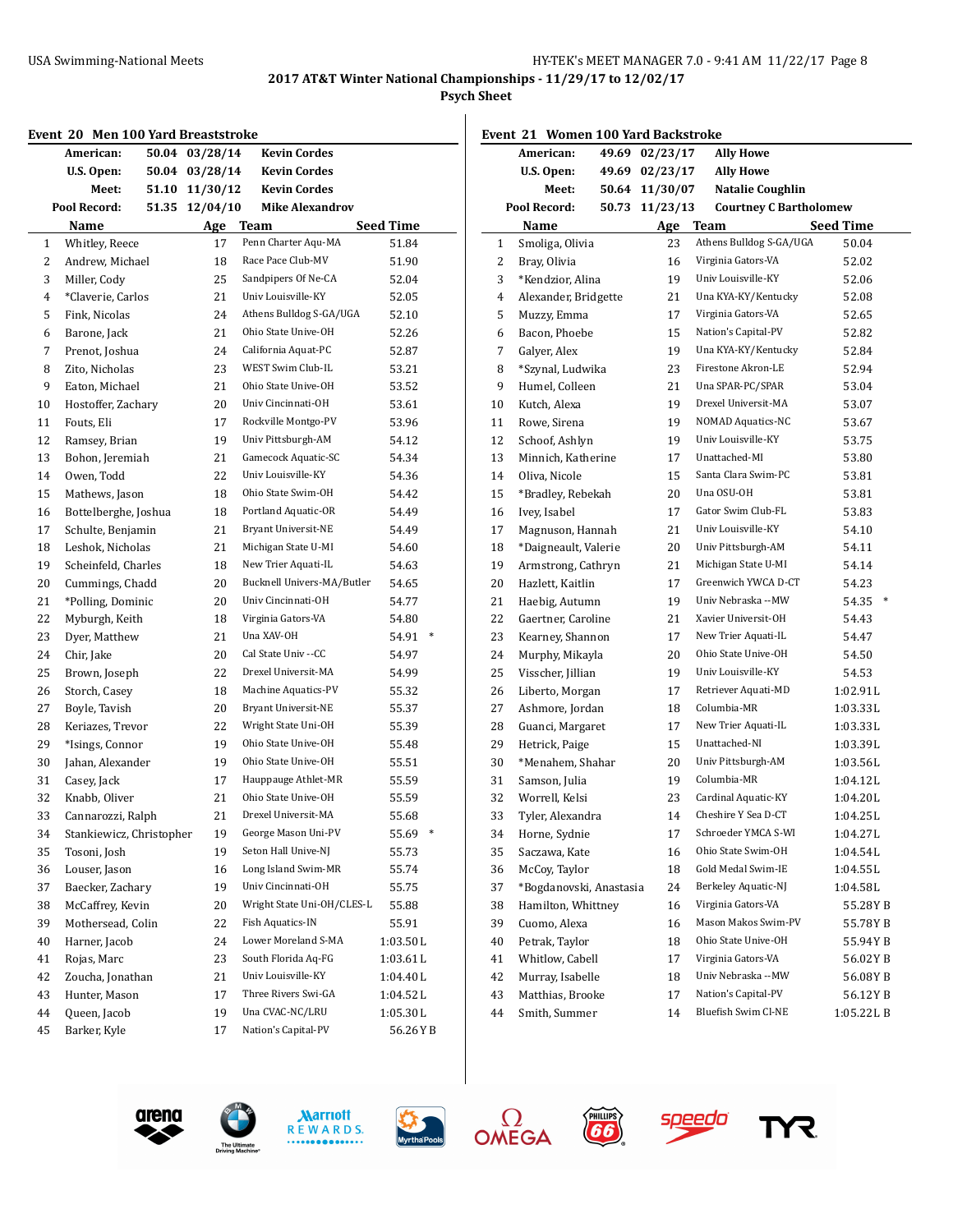**Psych Sheet**

|  |  |  |  | Event 20 Men 100 Yard Breaststroke |
|--|--|--|--|------------------------------------|
|--|--|--|--|------------------------------------|

|              | went zu  men 100 rard breaststroke:<br>American: |       | 50.04 03/28/14 | <b>Kevin Cordes</b>         |                           |
|--------------|--------------------------------------------------|-------|----------------|-----------------------------|---------------------------|
|              | U.S. Open:                                       |       | 50.04 03/28/14 | <b>Kevin Cordes</b>         |                           |
|              | Meet:                                            |       | 51.10 11/30/12 | <b>Kevin Cordes</b>         |                           |
|              | Pool Record:                                     | 51.35 | 12/04/10       | <b>Mike Alexandrov</b>      |                           |
|              | Name                                             |       |                |                             |                           |
| $\mathbf{1}$ | Whitley, Reece                                   |       | Age<br>17      | Team<br>Penn Charter Aqu-MA | <b>Seed Time</b><br>51.84 |
| 2            | Andrew, Michael                                  |       | 18             | Race Pace Club-MV           | 51.90                     |
| 3            | Miller, Cody                                     |       | 25             | Sandpipers Of Ne-CA         | 52.04                     |
| 4            | *Claverie, Carlos                                |       | 21             | Univ Louisville-KY          | 52.05                     |
| 5            | Fink, Nicolas                                    |       | 24             | Athens Bulldog S-GA/UGA     | 52.10                     |
| 6            | Barone, Jack                                     |       | 21             | Ohio State Unive-OH         | 52.26                     |
| 7            | Prenot, Joshua                                   |       | 24             | California Aquat-PC         | 52.87                     |
| 8            | Zito, Nicholas                                   |       | 23             | WEST Swim Club-IL           | 53.21                     |
| 9            | Eaton, Michael                                   |       | 21             | Ohio State Unive-OH         | 53.52                     |
| 10           | Hostoffer, Zachary                               |       | 20             | Univ Cincinnati-OH          | 53.61                     |
| 11           | Fouts, Eli                                       |       | 17             | Rockville Montgo-PV         | 53.96                     |
| 12           | Ramsey, Brian                                    |       | 19             | Univ Pittsburgh-AM          | 54.12                     |
| 13           | Bohon, Jeremiah                                  |       | 21             | Gamecock Aquatic-SC         | 54.34                     |
| 14           | Owen, Todd                                       |       | 22             | Univ Louisville-KY          | 54.36                     |
| 15           | Mathews, Jason                                   |       | 18             | Ohio State Swim-OH          | 54.42                     |
| 16           | Bottelberghe, Joshua                             |       | 18             | Portland Aquatic-OR         | 54.49                     |
| 17           | Schulte, Benjamin                                |       | 21             | <b>Bryant Universit-NE</b>  | 54.49                     |
| 18           | Leshok, Nicholas                                 |       | 21             | Michigan State U-MI         | 54.60                     |
| 19           | Scheinfeld, Charles                              |       | 18             | New Trier Aquati-IL         | 54.63                     |
| 20           | Cummings, Chadd                                  |       | 20             | Bucknell Univers-MA/Butler  | 54.65                     |
| 21           | *Polling, Dominic                                |       | 20             | Univ Cincinnati-OH          | 54.77                     |
| 22           | Myburgh, Keith                                   |       | 18             | Virginia Gators-VA          | 54.80                     |
| 23           | Dyer, Matthew                                    |       | 21             | Una XAV-OH                  | $\ast$<br>54.91           |
| 24           | Chir, Jake                                       |       | 20             | Cal State Univ --CC         | 54.97                     |
| 25           | Brown, Joseph                                    |       | 22             | Drexel Universit-MA         | 54.99                     |
| 26           | Storch, Casey                                    |       | 18             | Machine Aquatics-PV         | 55.32                     |
| 27           | Boyle, Tavish                                    |       | 20             | Bryant Universit-NE         | 55.37                     |
| 28           | Keriazes, Trevor                                 |       | 22             | Wright State Uni-OH         | 55.39                     |
| 29           | *Isings, Connor                                  |       | 19             | Ohio State Unive-OH         | 55.48                     |
| 30           | Jahan, Alexander                                 |       | 19             | Ohio State Unive-OH         | 55.51                     |
| 31           | Casey, Jack                                      |       | 17             | Hauppauge Athlet-MR         | 55.59                     |
| 32           | Knabb, Oliver                                    |       | 21             | Ohio State Unive-OH         | 55.59                     |
| 33           | Cannarozzi, Ralph                                |       | 21             | Drexel Universit-MA         | 55.68                     |
| 34           | Stankiewicz, Christopher                         |       | 19             | George Mason Uni-PV         | 55.69                     |
| 35           | Tosoni, Josh                                     |       | 19             | Seton Hall Unive-NJ         | 55.73                     |
| 36           | Louser, Jason                                    |       | 16             | Long Island Swim-MR         | 55.74                     |
| 37           | Baecker, Zachary                                 |       | 19             | Univ Cincinnati-OH          | 55.75                     |
| 38           | McCaffrey, Kevin                                 |       | 20             | Wright State Uni-OH/CLES-L  | 55.88                     |
| 39           | Mothersead, Colin                                |       | 22             | Fish Aquatics-IN            | 55.91                     |
| 40           | Harner, Jacob                                    |       | 24             | Lower Moreland S-MA         | 1:03.50L                  |
| 41           | Rojas, Marc                                      |       | 23             | South Florida Aq-FG         | 1:03.61L                  |
| 42           | Zoucha, Jonathan                                 |       | 21             | Univ Louisville-KY          | 1:04.40L                  |
| 43           | Hunter, Mason                                    |       | 17             | Three Rivers Swi-GA         | 1:04.52 L                 |
| 44           | Queen, Jacob                                     |       | 19             | Una CVAC-NC/LRU             | 1:05.30L                  |
| 45           | Barker, Kyle                                     |       | 17             | Nation's Capital-PV         | 56.26 Y B                 |
|              |                                                  |       |                |                             |                           |

| Event 21 Women 100 Yard Backstroke |                         |       |                |                               |                  |  |  |
|------------------------------------|-------------------------|-------|----------------|-------------------------------|------------------|--|--|
|                                    | American:               |       | 49.69 02/23/17 | <b>Ally Howe</b>              |                  |  |  |
|                                    | U.S. Open:              |       | 49.69 02/23/17 | <b>Ally Howe</b>              |                  |  |  |
|                                    | Meet:                   | 50.64 | 11/30/07       | Natalie Coughlin              |                  |  |  |
|                                    | Pool Record:            | 50.73 | 11/23/13       | <b>Courtney C Bartholomew</b> |                  |  |  |
|                                    | Name                    |       | Age            | <b>Team</b>                   | <b>Seed Time</b> |  |  |
| 1                                  | Smoliga, Olivia         |       | 23             | Athens Bulldog S-GA/UGA       | 50.04            |  |  |
| 2                                  | Bray, Olivia            |       | 16             | Virginia Gators-VA            | 52.02            |  |  |
| 3                                  | *Kendzior, Alina        |       | 19             | Univ Louisville-KY            | 52.06            |  |  |
| 4                                  | Alexander, Bridgette    |       | 21             | Una KYA-KY/Kentucky           | 52.08            |  |  |
| 5                                  | Muzzy, Emma             |       | 17             | Virginia Gators-VA            | 52.65            |  |  |
| 6                                  | Bacon, Phoebe           |       | 15             | Nation's Capital-PV           | 52.82            |  |  |
| 7                                  | Galyer, Alex            |       | 19             | Una KYA-KY/Kentucky           | 52.84            |  |  |
| 8                                  | *Szynal, Ludwika        |       | 23             | Firestone Akron-LE            | 52.94            |  |  |
| 9                                  | Humel, Colleen          |       | 21             | Una SPAR-PC/SPAR              | 53.04            |  |  |
| 10                                 | Kutch, Alexa            |       | 19             | Drexel Universit-MA           | 53.07            |  |  |
| 11                                 | Rowe, Sirena            |       | 19             | <b>NOMAD Aquatics-NC</b>      | 53.67            |  |  |
| 12                                 | Schoof, Ashlyn          |       | 19             | Univ Louisville-KY            | 53.75            |  |  |
| 13                                 | Minnich, Katherine      |       | 17             | Unattached-MI                 | 53.80            |  |  |
| 14                                 | Oliva, Nicole           |       | 15             | Santa Clara Swim-PC           | 53.81            |  |  |
| 15                                 | *Bradley, Rebekah       |       | 20             | Una OSU-OH                    | 53.81            |  |  |
| 16                                 | Ivey, Isabel            |       | 17             | Gator Swim Club-FL            | 53.83            |  |  |
| 17                                 | Magnuson, Hannah        |       | 21             | Univ Louisville-KY            | 54.10            |  |  |
| 18                                 | *Daigneault, Valerie    |       | 20             | Univ Pittsburgh-AM            | 54.11            |  |  |
| 19                                 | Armstrong, Cathryn      |       | 21             | Michigan State U-MI           | 54.14            |  |  |
| 20                                 | Hazlett, Kaitlin        |       | 17             | Greenwich YWCA D-CT           | 54.23            |  |  |
| 21                                 | Haebig, Autumn          |       | 19             | Univ Nebraska --MW            | 54.35<br>$\ast$  |  |  |
| 22                                 | Gaertner, Caroline      |       | 21             | Xavier Universit-OH           | 54.43            |  |  |
| 23                                 | Kearney, Shannon        |       | 17             | New Trier Aquati-IL           | 54.47            |  |  |
| 24                                 | Murphy, Mikayla         |       | 20             | Ohio State Unive-OH           | 54.50            |  |  |
| 25                                 | Visscher, Jillian       |       | 19             | Univ Louisville-KY            | 54.53            |  |  |
| 26                                 | Liberto, Morgan         |       | 17             | Retriever Aquati-MD           | 1:02.91L         |  |  |
| 27                                 | Ashmore, Jordan         |       | 18             | Columbia-MR                   | 1:03.33L         |  |  |
| 28                                 | Guanci, Margaret        |       | 17             | New Trier Aquati-IL           | 1:03.33L         |  |  |
| 29                                 | Hetrick, Paige          |       | 15             | Unattached-NI                 | 1:03.39L         |  |  |
| 30                                 | *Menahem, Shahar        |       | 20             | Univ Pittsburgh-AM            | 1:03.56L         |  |  |
| 31                                 | Samson, Julia           |       | 19             | Columbia-MR                   | 1:04.12L         |  |  |
| 32                                 | Worrell, Kelsi          |       | 23             | Cardinal Aquatic-KY           | 1:04.20L         |  |  |
| 33                                 | Tyler, Alexandra        |       | 14             | Cheshire Y Sea D-CT           | 1:04.25L         |  |  |
| 34                                 | Horne, Sydnie           |       | 17             | Schroeder YMCA S-WI           | 1:04.27L         |  |  |
| 35                                 | Saczawa, Kate           |       | 16             | Ohio State Swim-OH            | 1:04.54L         |  |  |
| 36                                 | McCoy, Taylor           |       | 18             | Gold Medal Swim-IE            | 1:04.55L         |  |  |
| 37                                 | *Bogdanovski, Anastasia |       | 24             | Berkeley Aquatic-NJ           | 1:04.58L         |  |  |
| 38                                 | Hamilton, Whittney      |       | 16             | Virginia Gators-VA            | 55.28YB          |  |  |
| 39                                 | Cuomo, Alexa            |       | 16             | Mason Makos Swim-PV           | 55.78YB          |  |  |
| 40                                 | Petrak, Taylor          |       | 18             | Ohio State Unive-OH           | 55.94YB          |  |  |
| 41                                 | Whitlow, Cabell         |       | 17             | Virginia Gators-VA            | 56.02 Y B        |  |  |
| 42                                 | Murray, Isabelle        |       | 18             | Univ Nebraska --MW            | 56.08YB          |  |  |
| 43                                 | Matthias, Brooke        |       | 17             | Nation's Capital-PV           | 56.12YB          |  |  |
| 44                                 | Smith, Summer           |       | 14             | Bluefish Swim Cl-NE           | 1:05.22LB        |  |  |













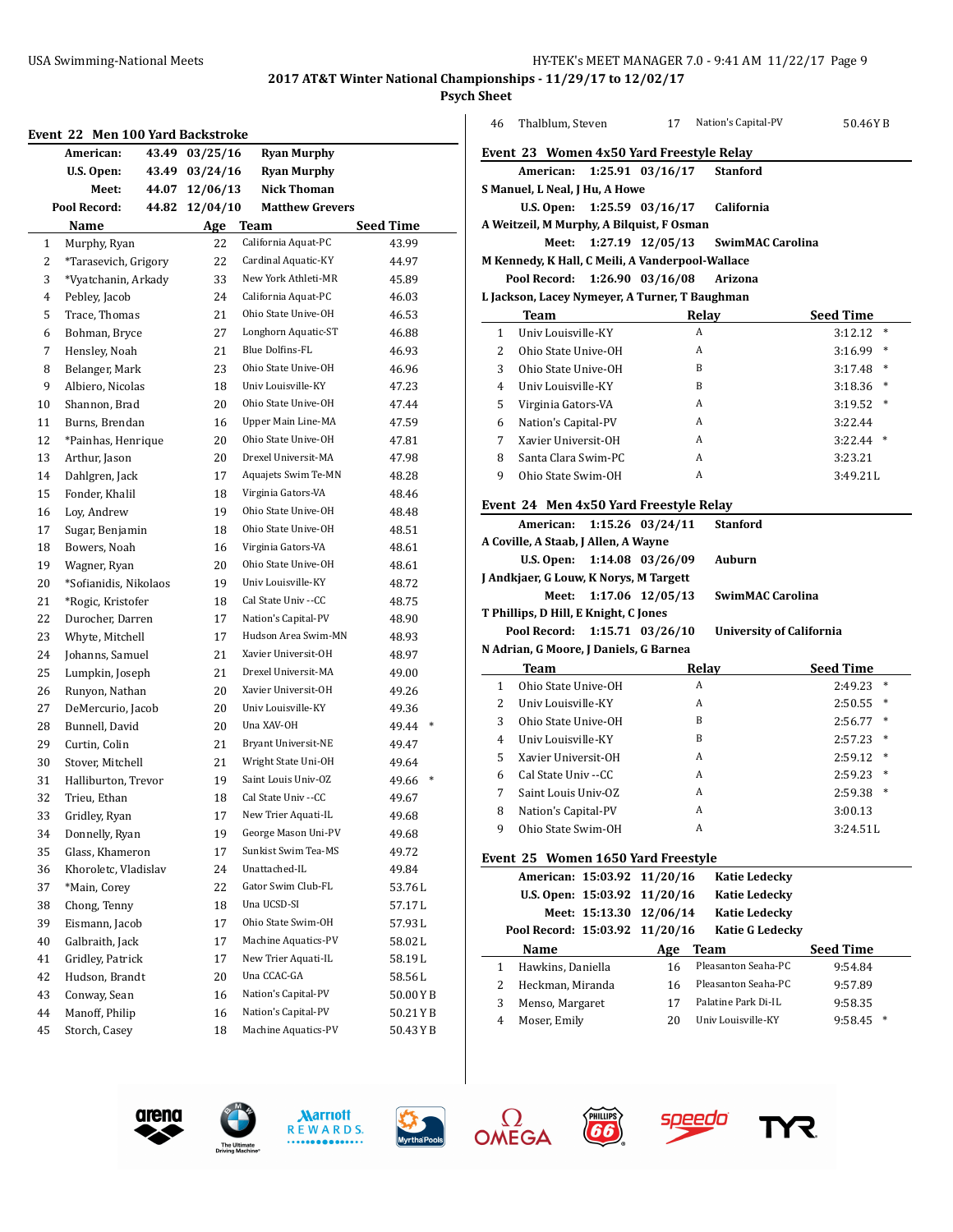**Psych Sheet**

|              | Event 22 Men 100 Yard Backstroke |       |                |                        |                  |
|--------------|----------------------------------|-------|----------------|------------------------|------------------|
|              | American:                        | 43.49 | 03/25/16       | <b>Ryan Murphy</b>     |                  |
|              | U.S. Open:                       | 43.49 | 03/24/16       | <b>Ryan Murphy</b>     |                  |
|              | Meet:                            |       | 44.07 12/06/13 | <b>Nick Thoman</b>     |                  |
|              | Pool Record:                     | 44.82 | 12/04/10       | <b>Matthew Grevers</b> |                  |
|              | Name                             |       | Age            | <b>Team</b>            | <b>Seed Time</b> |
| $\mathbf{1}$ | Murphy, Ryan                     |       | 22             | California Aquat-PC    | 43.99            |
| 2            | *Tarasevich, Grigory             |       | 22             | Cardinal Aquatic-KY    | 44.97            |
| 3            | *Vyatchanin, Arkady              |       | 33             | New York Athleti-MR    | 45.89            |
| 4            | Pebley, Jacob                    |       | 24             | California Aquat-PC    | 46.03            |
| 5            | Trace, Thomas                    |       | 21             | Ohio State Unive-OH    | 46.53            |
| 6            | Bohman, Bryce                    |       | 27             | Longhorn Aquatic-ST    | 46.88            |
| 7            | Hensley, Noah                    |       | 21             | Blue Dolfins-FL        | 46.93            |
| 8            | Belanger, Mark                   |       | 23             | Ohio State Unive-OH    | 46.96            |
| 9            | Albiero, Nicolas                 |       | 18             | Univ Louisville-KY     | 47.23            |
| 10           | Shannon, Brad                    |       | 20             | Ohio State Unive-OH    | 47.44            |
| 11           | Burns, Brendan                   |       | 16             | Upper Main Line-MA     | 47.59            |
| 12           | *Painhas, Henrique               |       | 20             | Ohio State Unive-OH    | 47.81            |
| 13           | Arthur, Jason                    |       | 20             | Drexel Universit-MA    | 47.98            |
| 14           | Dahlgren, Jack                   |       | 17             | Aquajets Swim Te-MN    | 48.28            |
| 15           | Fonder, Khalil                   |       | 18             | Virginia Gators-VA     | 48.46            |
| 16           | Loy, Andrew                      |       | 19             | Ohio State Unive-OH    | 48.48            |
| 17           | Sugar, Benjamin                  |       | 18             | Ohio State Unive-OH    | 48.51            |
| 18           | Bowers, Noah                     |       | 16             | Virginia Gators-VA     | 48.61            |
| 19           | Wagner, Ryan                     |       | 20             | Ohio State Unive-OH    | 48.61            |
| 20           | *Sofianidis, Nikolaos            |       | 19             | Univ Louisville-KY     | 48.72            |
| 21           | *Rogic, Kristofer                |       | 18             | Cal State Univ --CC    | 48.75            |
| 22           | Durocher, Darren                 |       | 17             | Nation's Capital-PV    | 48.90            |
| 23           | Whyte, Mitchell                  |       | 17             | Hudson Area Swim-MN    | 48.93            |
| 24           | Johanns, Samuel                  |       | 21             | Xavier Universit-OH    | 48.97            |
| 25           | Lumpkin, Joseph                  |       | 21             | Drexel Universit-MA    | 49.00            |
| 26           | Runyon, Nathan                   |       | 20             | Xavier Universit-OH    | 49.26            |
| 27           | DeMercurio, Jacob                |       | 20             | Univ Louisville-KY     | 49.36            |
| 28           | Bunnell, David                   |       | 20             | Una XAV-OH             | 49.44<br>$\ast$  |
| 29           | Curtin, Colin                    |       | 21             | Bryant Universit-NE    | 49.47            |
| 30           | Stover, Mitchell                 |       | 21             | Wright State Uni-OH    | 49.64            |
| 31           | Halliburton, Trevor              |       | 19             | Saint Louis Univ-OZ    | 49.66<br>$\ast$  |
| 32           | Trieu, Ethan                     |       | 18             | Cal State Univ --CC    | 49.67            |
| 33           | Gridley, Ryan                    |       | 17             | New Trier Aquati-IL    | 49.68            |
| 34           | Donnelly, Ryan                   |       | 19             | George Mason Uni-PV    | 49.68            |
| 35           | Glass, Khameron                  |       | 17             | Sunkist Swim Tea-MS    | 49.72            |
| 36           | Khoroletc, Vladislav             |       | 24             | Unattached-IL          | 49.84            |
| 37           | *Main, Corey                     |       | 22             | Gator Swim Club-FL     | 53.76L           |
| 38           | Chong, Tenny                     |       | 18             | Una UCSD-SI            | 57.17L           |
| 39           | Eismann, Jacob                   |       | 17             | Ohio State Swim-OH     | 57.93L           |
| 40           | Galbraith, Jack                  |       | 17             | Machine Aquatics-PV    | 58.02L           |
| 41           | Gridley, Patrick                 |       | 17             | New Trier Aquati-IL    | 58.19L           |
| 42           | Hudson, Brandt                   |       | 20             | Una CCAC-GA            | 58.56L           |
| 43           | Conway, Sean                     |       | 16             | Nation's Capital-PV    | 50.00YB          |
| 44           | Manoff, Philip                   |       | 16             | Nation's Capital-PV    | 50.21YB          |
| 45           | Storch, Casey                    |       | 18             | Machine Aquatics-PV    | 50.43YB          |
|              |                                  |       |                |                        |                  |

| 46                                             | Thalblum, Steven                                 |                | 17                            | Nation's Capital-PV             | 50.46YB           |  |  |  |  |  |
|------------------------------------------------|--------------------------------------------------|----------------|-------------------------------|---------------------------------|-------------------|--|--|--|--|--|
|                                                | Event 23 Women 4x50 Yard Freestyle Relay         |                |                               |                                 |                   |  |  |  |  |  |
|                                                | American:                                        |                | 1:25.91 03/16/17              | <b>Stanford</b>                 |                   |  |  |  |  |  |
|                                                | S Manuel, L Neal, J Hu, A Howe                   |                |                               |                                 |                   |  |  |  |  |  |
|                                                |                                                  |                | U.S. Open: $1:25.59$ 03/16/17 | California                      |                   |  |  |  |  |  |
|                                                | A Weitzeil, M Murphy, A Bilquist, F Osman        |                |                               |                                 |                   |  |  |  |  |  |
|                                                | Meet:<br>1:27.19 12/05/13<br>SwimMAC Carolina    |                |                               |                                 |                   |  |  |  |  |  |
|                                                | M Kennedy, K Hall, C Meili, A Vanderpool-Wallace |                |                               |                                 |                   |  |  |  |  |  |
| Pool Record:<br>1:26.90 03/16/08<br>Arizona    |                                                  |                |                               |                                 |                   |  |  |  |  |  |
| L Jackson, Lacey Nymeyer, A Turner, T Baughman |                                                  |                |                               |                                 |                   |  |  |  |  |  |
|                                                | Team                                             |                |                               | Relay                           | <b>Seed Time</b>  |  |  |  |  |  |
| $\mathbf{1}$                                   | Univ Louisville-KY                               |                | A                             |                                 | 3:12.12<br>$\ast$ |  |  |  |  |  |
| $\overline{2}$                                 | Ohio State Unive-OH                              |                | A                             |                                 | $3:16.99$ *       |  |  |  |  |  |
| 3                                              | Ohio State Unive-OH                              |                | B                             |                                 | $3:17.48$ *       |  |  |  |  |  |
| 4                                              | Univ Louisville-KY                               |                | B                             |                                 | 3:18.36<br>$\ast$ |  |  |  |  |  |
| 5                                              | Virginia Gators-VA                               |                | A                             |                                 | 3:19.52<br>$\ast$ |  |  |  |  |  |
| 6                                              | Nation's Capital-PV                              |                | A                             |                                 | 3:22.44           |  |  |  |  |  |
| 7                                              | Xavier Universit-OH                              |                | A                             |                                 | 3:22.44<br>$\ast$ |  |  |  |  |  |
| 8                                              | Santa Clara Swim-PC                              |                | A                             |                                 | 3:23.21           |  |  |  |  |  |
| 9                                              | Ohio State Swim-OH                               |                | A                             |                                 | 3:49.211          |  |  |  |  |  |
|                                                | Event 24 Men 4x50 Yard Freestyle Relay           |                |                               |                                 |                   |  |  |  |  |  |
|                                                | American:                                        |                | 1:15.26 03/24/11              | <b>Stanford</b>                 |                   |  |  |  |  |  |
|                                                | A Coville, A Staab, J Allen, A Wayne             |                |                               |                                 |                   |  |  |  |  |  |
|                                                | U.S. Open:                                       |                | 1:14.08 03/26/09              | Auburn                          |                   |  |  |  |  |  |
|                                                | J Andkjaer, G Louw, K Norys, M Targett           |                |                               |                                 |                   |  |  |  |  |  |
|                                                | Meet:                                            |                | 1:17.06 12/05/13              | SwimMAC Carolina                |                   |  |  |  |  |  |
|                                                | T Phillips, D Hill, E Knight, C Jones            |                |                               |                                 |                   |  |  |  |  |  |
|                                                | Pool Record:                                     |                | 1:15.71 03/26/10              | <b>University of California</b> |                   |  |  |  |  |  |
|                                                | N Adrian, G Moore, J Daniels, G Barnea           |                |                               |                                 |                   |  |  |  |  |  |
|                                                | Team                                             |                |                               | Relay                           | <b>Seed Time</b>  |  |  |  |  |  |
| $\mathbf{1}$                                   | Ohio State Unive-OH                              |                | A                             |                                 | $\ast$<br>2:49.23 |  |  |  |  |  |
| 2                                              | Univ Louisville-KY                               |                | A                             |                                 | 2:50.55<br>$\ast$ |  |  |  |  |  |
| 3                                              | Ohio State Unive-OH                              |                | B                             |                                 | $2:56.77$ *       |  |  |  |  |  |
| 4                                              | Univ Louisville-KY                               |                | B                             |                                 | $\ast$<br>2:57.23 |  |  |  |  |  |
| 5                                              | Xavier Universit-OH                              |                | A                             |                                 | 2:59.12<br>$\ast$ |  |  |  |  |  |
| 6                                              | Cal State Univ -- CC                             |                | A                             |                                 | $\ast$<br>2:59.23 |  |  |  |  |  |
| 7                                              | Saint Louis Univ-OZ                              |                | Α                             |                                 | $\ast$<br>2:59.38 |  |  |  |  |  |
| 8                                              | Nation's Capital-PV                              |                | Α                             |                                 | 3:00.13           |  |  |  |  |  |
| 9                                              | Ohio State Swim-OH                               |                | Α                             |                                 | 3:24.51L          |  |  |  |  |  |
|                                                | Event 25 Women 1650 Yard Freestyle               |                |                               |                                 |                   |  |  |  |  |  |
|                                                | American: 15:03.92                               |                | 11/20/16                      | <b>Katie Ledecky</b>            |                   |  |  |  |  |  |
|                                                | U.S. Open: 15:03.92                              |                | 11/20/16                      | <b>Katie Ledecky</b>            |                   |  |  |  |  |  |
|                                                |                                                  | Meet: 15:13.30 | 12/06/14                      | <b>Katie Ledecky</b>            |                   |  |  |  |  |  |
|                                                | Pool Record: 15:03.92                            |                | 11/20/16                      | <b>Katie G Ledecky</b>          |                   |  |  |  |  |  |









PHILLIPS<br>**66** 



**Name Age Team Seed Time**  Hawkins, Daniella 16 Pleasanton Seaha-PC 9:54.84 Heckman, Miranda 16 Pleasanton Seaha-PC 9:57.89 Menso, Margaret 17 Palatine Park Di-IL 9:58.35 Moser, Emily 20 Univ Louisville-KY 9:58.45 \*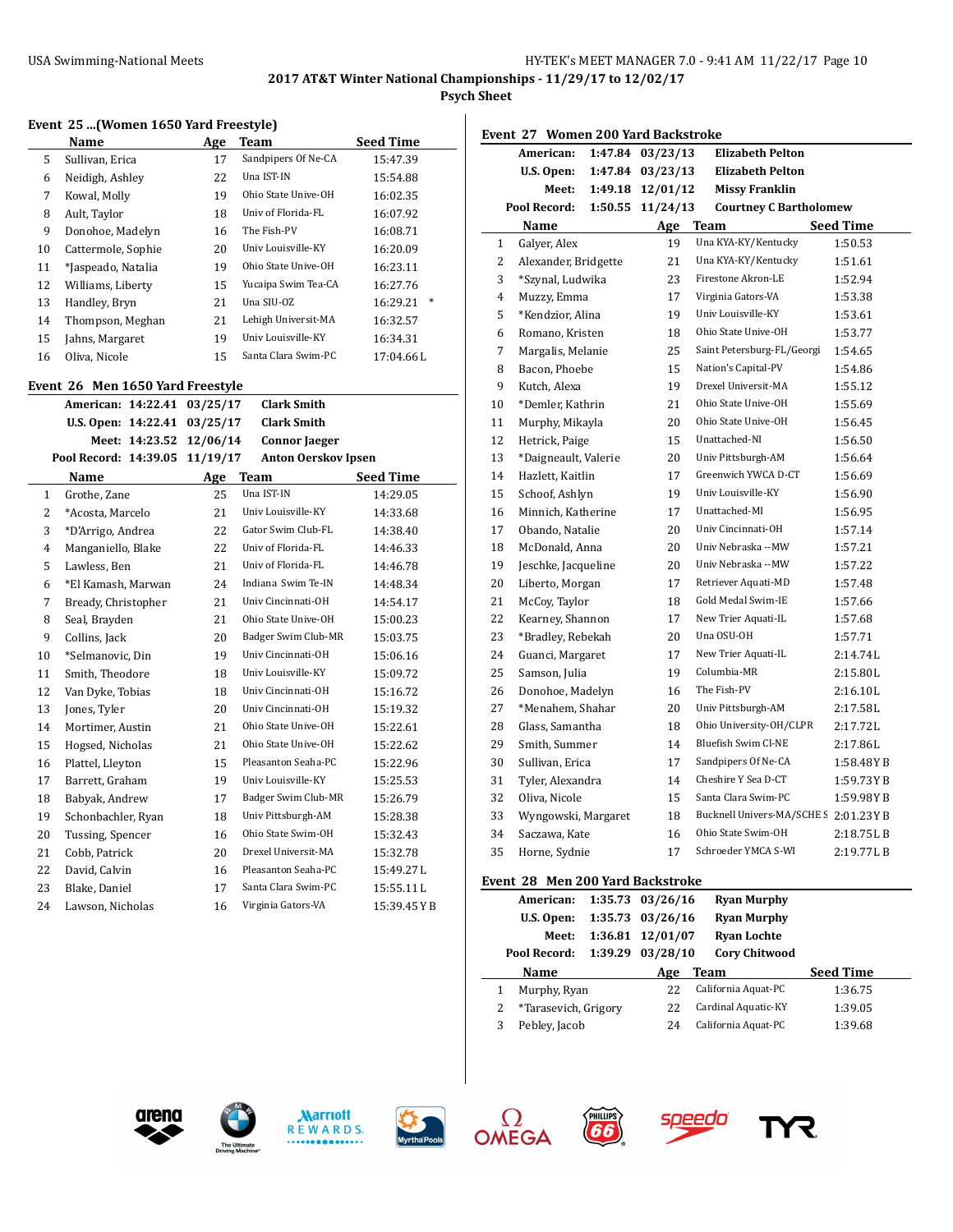$\sim$ 

**Psych Sheet**

#### **Event 25 ...(Women 1650 Yard Freestyle)**

|    | Name               | Age | Team                | <b>Seed Time</b>   |
|----|--------------------|-----|---------------------|--------------------|
| 5  | Sullivan, Erica    | 17  | Sandpipers Of Ne-CA | 15:47.39           |
| 6  | Neidigh, Ashley    | 22  | Una IST-IN          | 15:54.88           |
| 7  | Kowal, Molly       | 19  | Ohio State Unive-OH | 16:02.35           |
| 8  | Ault, Taylor       | 18  | Univ of Florida-FL  | 16:07.92           |
| 9  | Donohoe, Madelyn   | 16  | The Fish-PV         | 16:08.71           |
| 10 | Cattermole, Sophie | 20  | Univ Louisville-KY  | 16:20.09           |
| 11 | *Jaspeado, Natalia | 19  | Ohio State Unive-OH | 16:23.11           |
| 12 | Williams, Liberty  | 15  | Yucaipa Swim Tea-CA | 16:27.76           |
| 13 | Handley, Bryn      | 21  | Una SIU-OZ          | $\ast$<br>16:29.21 |
| 14 | Thompson, Meghan   | 21  | Lehigh Universit-MA | 16:32.57           |
| 15 | Jahns, Margaret    | 19  | Univ Louisville-KY  | 16:34.31           |
| 16 | Oliva, Nicole      | 15  | Santa Clara Swim-PC | 17:04.66L          |

#### **Event 26 Men 1650 Yard Freestyle**

|                | vent 20 men 1050 faru ricestyle |          |                            |                  |
|----------------|---------------------------------|----------|----------------------------|------------------|
|                | American: 14:22.41              | 03/25/17 | <b>Clark Smith</b>         |                  |
|                | U.S. Open: 14:22.41             | 03/25/17 | <b>Clark Smith</b>         |                  |
|                | Meet: 14:23.52                  | 12/06/14 | <b>Connor Jaeger</b>       |                  |
|                | Pool Record: 14:39.05           | 11/19/17 | <b>Anton Oerskov Ipsen</b> |                  |
|                | Name                            | Age      | <b>Team</b>                | <b>Seed Time</b> |
| 1              | Grothe, Zane                    | 25       | Una IST-IN                 | 14:29.05         |
| $\overline{2}$ | *Acosta, Marcelo                | 21       | Univ Louisville-KY         | 14:33.68         |
| 3              | *D'Arrigo, Andrea               | 22       | Gator Swim Club-FL         | 14:38.40         |
| 4              | Manganiello, Blake              | 22       | Univ of Florida-FL         | 14:46.33         |
| 5              | Lawless, Ben                    | 21       | Univ of Florida-FL         | 14:46.78         |
| 6              | *El Kamash, Marwan              | 24       | Indiana Swim Te-IN         | 14:48.34         |
| 7              | Bready, Christopher             | 21       | Univ Cincinnati-OH         | 14:54.17         |
| 8              | Seal, Brayden                   | 21       | Ohio State Unive-OH        | 15:00.23         |
| 9              | Collins, Jack                   | 20       | Badger Swim Club-MR        | 15:03.75         |
| 10             | *Selmanovic, Din                | 19       | Univ Cincinnati-OH         | 15:06.16         |
| 11             | Smith, Theodore                 | 18       | Univ Louisville-KY         | 15:09.72         |
| 12             | Van Dyke, Tobias                | 18       | Univ Cincinnati-OH         | 15:16.72         |
| 13             | Jones, Tyler                    | 20       | Univ Cincinnati-OH         | 15:19.32         |
| 14             | Mortimer, Austin                | 21       | Ohio State Unive-OH        | 15:22.61         |
| 15             | Hogsed, Nicholas                | 21       | Ohio State Unive-OH        | 15:22.62         |
| 16             | Plattel, Lleyton                | 15       | Pleasanton Seaha-PC        | 15:22.96         |
| 17             | Barrett, Graham                 | 19       | Univ Louisville-KY         | 15:25.53         |
| 18             | Babyak, Andrew                  | 17       | Badger Swim Club-MR        | 15:26.79         |
| 19             | Schonbachler, Ryan              | 18       | Univ Pittsburgh-AM         | 15:28.38         |
| 20             | Tussing, Spencer                | 16       | Ohio State Swim-OH         | 15:32.43         |
| 21             | Cobb, Patrick                   | 20       | Drexel Universit-MA        | 15:32.78         |
| 22             | David, Calvin                   | 16       | Pleasanton Seaha-PC        | 15:49.27L        |
| 23             | Blake, Daniel                   | 17       | Santa Clara Swim-PC        | 15:55.11L        |
| 24             | Lawson, Nicholas                | 16       | Virginia Gators-VA         | 15:39.45YB       |

|                | Event 27 Women 200 Yard Backstroke |         |          |                                       |                  |
|----------------|------------------------------------|---------|----------|---------------------------------------|------------------|
|                | American:                          | 1:47.84 | 03/23/13 | <b>Elizabeth Pelton</b>               |                  |
|                | U.S. Open:                         | 1:47.84 | 03/23/13 | <b>Elizabeth Pelton</b>               |                  |
|                | Meet:                              | 1:49.18 | 12/01/12 | <b>Missy Franklin</b>                 |                  |
|                | Pool Record:                       | 1:50.55 | 11/24/13 | <b>Courtney C Bartholomew</b>         |                  |
|                | Name                               |         | Age      | Team                                  | <b>Seed Time</b> |
| $\mathbf{1}$   | Galyer, Alex                       |         | 19       | Una KYA-KY/Kentucky                   | 1:50.53          |
| 2              | Alexander, Bridgette               |         | 21       | Una KYA-KY/Kentucky                   | 1:51.61          |
| 3              | *Szynal, Ludwika                   |         | 23       | Firestone Akron-LE                    | 1:52.94          |
| $\overline{4}$ | Muzzy, Emma                        |         | 17       | Virginia Gators-VA                    | 1:53.38          |
| 5              | *Kendzior, Alina                   |         | 19       | Univ Louisville-KY                    | 1:53.61          |
| 6              | Romano, Kristen                    |         | 18       | Ohio State Unive-OH                   | 1:53.77          |
| 7              | Margalis, Melanie                  |         | 25       | Saint Petersburg-FL/Georgi            | 1:54.65          |
| 8              | Bacon, Phoebe                      |         | 15       | Nation's Capital-PV                   | 1:54.86          |
| 9              | Kutch, Alexa                       |         | 19       | Drexel Universit-MA                   | 1:55.12          |
| 10             | *Demler, Kathrin                   |         | 21       | Ohio State Unive-OH                   | 1:55.69          |
| 11             | Murphy, Mikayla                    |         | 20       | Ohio State Unive-OH                   | 1:56.45          |
| 12             | Hetrick, Paige                     |         | 15       | Unattached-NI                         | 1:56.50          |
| 13             | *Daigneault, Valerie               |         | 20       | Univ Pittsburgh-AM                    | 1:56.64          |
| 14             | Hazlett, Kaitlin                   |         | 17       | Greenwich YWCA D-CT                   | 1:56.69          |
| 15             | Schoof, Ashlyn                     |         | 19       | Univ Louisville-KY                    | 1:56.90          |
| 16             | Minnich, Katherine                 |         | 17       | Unattached-MI                         | 1:56.95          |
| 17             | Obando, Natalie                    |         | 20       | Univ Cincinnati-OH                    | 1:57.14          |
| 18             | McDonald, Anna                     |         | 20       | Univ Nebraska --MW                    | 1:57.21          |
| 19             | Jeschke, Jacqueline                |         | 20       | Univ Nebraska --MW                    | 1:57.22          |
| 20             | Liberto, Morgan                    |         | 17       | Retriever Aquati-MD                   | 1:57.48          |
| 21             | McCoy, Taylor                      |         | 18       | Gold Medal Swim-IE                    | 1:57.66          |
| 22             | Kearney, Shannon                   |         | 17       | New Trier Aquati-IL                   | 1:57.68          |
| 23             | *Bradley, Rebekah                  |         | 20       | Una OSU-OH                            | 1:57.71          |
| 24             | Guanci, Margaret                   |         | 17       | New Trier Aquati-IL                   | 2:14.74L         |
| 25             | Samson, Julia                      |         | 19       | Columbia-MR                           | 2:15.80L         |
| 26             | Donohoe, Madelyn                   |         | 16       | The Fish-PV                           | 2:16.10L         |
| 27             | *Menahem, Shahar                   |         | 20       | Univ Pittsburgh-AM                    | 2:17.58L         |
| 28             | Glass, Samantha                    |         | 18       | Ohio University-OH/CLPR               | 2:17.72L         |
| 29             | Smith, Summer                      |         | 14       | <b>Bluefish Swim Cl-NE</b>            | 2:17.86L         |
| 30             | Sullivan, Erica                    |         | 17       | Sandpipers Of Ne-CA                   | 1:58.48YB        |
| 31             | Tyler, Alexandra                   |         | 14       | Cheshire Y Sea D-CT                   | 1:59.73 Y B      |
| 32             | Oliva, Nicole                      |         | 15       | Santa Clara Swim-PC                   | 1:59.98 Y B      |
| 33             | Wyngowski, Margaret                |         | 18       | Bucknell Univers-MA/SCHE S 2:01.23Y B |                  |
| 34             | Saczawa, Kate                      |         | 16       | Ohio State Swim-OH                    | 2:18.75LB        |
| 35             | Horne, Sydnie                      |         | 17       | Schroeder YMCA S-WI                   | 2:19.77LB        |
|                | $\mathbf{a}$                       | 200x    |          |                                       |                  |

#### **Event 28 Men 200 Yard Backstroke**

**FILLIES** 

|   | American:            | 1:35.73 03/26/16 | <b>Ryan Murphy</b>   |                  |
|---|----------------------|------------------|----------------------|------------------|
|   | U.S. Open:           | 1:35.73 03/26/16 | <b>Ryan Murphy</b>   |                  |
|   | Meet:                | 1:36.81 12/01/07 | <b>Ryan Lochte</b>   |                  |
|   | Pool Record:         | 1:39.29 03/28/10 | <b>Cory Chitwood</b> |                  |
|   | <b>Name</b>          | Age              | <b>Team</b>          | <b>Seed Time</b> |
|   | Murphy, Ryan         | 22               | California Aquat-PC  | 1:36.75          |
|   | *Tarasevich, Grigory | 22               | Cardinal Aquatic-KY  | 1:39.05          |
| 3 | Pebley, Jacob        | 24               | California Aquat-PC  | 1:39.68          |













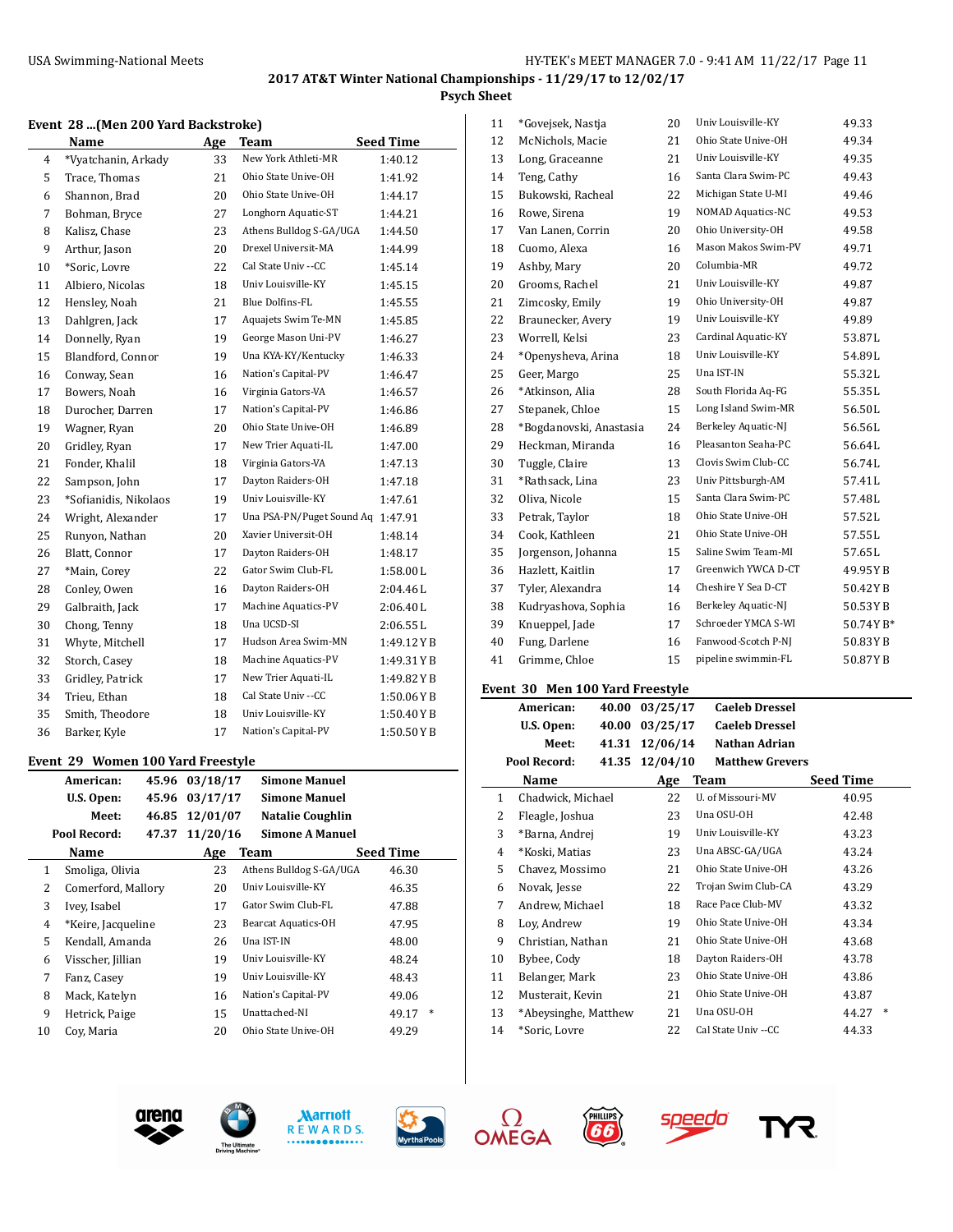# **2017 AT&T Winter National Championships - 11/29/17 to 12/02/17 Psych Sheet**

#### **Event 28 ...(Men 200 Yard Backstroke)**

|    | Name                  | Age | <b>Team</b>                       | <b>Seed Time</b> |
|----|-----------------------|-----|-----------------------------------|------------------|
| 4  | *Vyatchanin, Arkady   | 33  | New York Athleti-MR               | 1:40.12          |
| 5  | Trace, Thomas         | 21  | Ohio State Unive-OH               | 1:41.92          |
| 6  | Shannon, Brad         | 20  | Ohio State Unive-OH               | 1:44.17          |
| 7  | Bohman, Bryce         | 27  | Longhorn Aquatic-ST               | 1:44.21          |
| 8  | Kalisz, Chase         | 23  | Athens Bulldog S-GA/UGA           | 1:44.50          |
| 9  | Arthur, Jason         | 20  | Drexel Universit-MA               | 1:44.99          |
| 10 | *Soric, Lovre         | 22  | Cal State Univ --CC               | 1:45.14          |
| 11 | Albiero, Nicolas      | 18  | Univ Louisville-KY                | 1:45.15          |
| 12 | Hensley, Noah         | 21  | Blue Dolfins-FL                   | 1:45.55          |
| 13 | Dahlgren, Jack        | 17  | Aquajets Swim Te-MN               | 1:45.85          |
| 14 | Donnelly, Ryan        | 19  | George Mason Uni-PV               | 1:46.27          |
| 15 | Blandford, Connor     | 19  | Una KYA-KY/Kentucky               | 1:46.33          |
| 16 | Conway, Sean          | 16  | Nation's Capital-PV               | 1:46.47          |
| 17 | Bowers, Noah          | 16  | Virginia Gators-VA                | 1:46.57          |
| 18 | Durocher, Darren      | 17  | Nation's Capital-PV               | 1:46.86          |
| 19 | Wagner, Ryan          | 20  | Ohio State Unive-OH               | 1:46.89          |
| 20 | Gridley, Ryan         | 17  | New Trier Aquati-IL               | 1:47.00          |
| 21 | Fonder, Khalil        | 18  | Virginia Gators-VA                | 1:47.13          |
| 22 | Sampson, John         | 17  | Dayton Raiders-OH                 | 1:47.18          |
| 23 | *Sofianidis, Nikolaos | 19  | Univ Louisville-KY                | 1:47.61          |
| 24 | Wright, Alexander     | 17  | Una PSA-PN/Puget Sound Aq 1:47.91 |                  |
| 25 | Runyon, Nathan        | 20  | Xavier Universit-OH               | 1:48.14          |
| 26 | Blatt, Connor         | 17  | Dayton Raiders-OH                 | 1:48.17          |
| 27 | *Main, Corey          | 22  | Gator Swim Club-FL                | 1:58.00L         |
| 28 | Conley, Owen          | 16  | Dayton Raiders-OH                 | 2:04.46L         |
| 29 | Galbraith, Jack       | 17  | Machine Aquatics-PV               | 2:06.40L         |
| 30 | Chong, Tenny          | 18  | Una UCSD-SI                       | 2:06.55L         |
| 31 | Whyte, Mitchell       | 17  | Hudson Area Swim-MN               | 1:49.12YB        |
| 32 | Storch, Casey         | 18  | Machine Aquatics-PV               | 1:49.31YB        |
| 33 | Gridley, Patrick      | 17  | New Trier Aquati-IL               | 1:49.82YB        |
| 34 | Trieu, Ethan          | 18  | Cal State Univ --CC               | 1:50.06YB        |
| 35 | Smith, Theodore       | 18  | Univ Louisville-KY                | 1:50.40YB        |
| 36 | Barker, Kyle          | 17  | Nation's Capital-PV               | 1:50.50YB        |

## **Event 29 Women 100 Yard Freestyle**

|              | American:          | 45.96 | 03/18/17 | <b>Simone Manuel</b>       |                  |
|--------------|--------------------|-------|----------|----------------------------|------------------|
|              | U.S. Open:         | 45.96 | 03/17/17 | <b>Simone Manuel</b>       |                  |
|              | Meet:              | 46.85 | 12/01/07 | Natalie Coughlin           |                  |
|              | Pool Record:       | 47.37 | 11/20/16 | <b>Simone A Manuel</b>     |                  |
|              | Name               |       | Age      | Team                       | <b>Seed Time</b> |
| $\mathbf{1}$ | Smoliga, Olivia    |       | 23       | Athens Bulldog S-GA/UGA    | 46.30            |
| 2            | Comerford, Mallory |       | 20       | Univ Louisville-KY         | 46.35            |
| 3            | Ivey, Isabel       |       | 17       | Gator Swim Club-FL         | 47.88            |
| 4            | *Keire, Jacqueline |       | 23       | <b>Bearcat Aquatics-OH</b> | 47.95            |
| 5            | Kendall, Amanda    |       | 26       | Una IST-IN                 | 48.00            |
| 6            | Visscher, Jillian  |       | 19       | Univ Louisville-KY         | 48.24            |
| 7            | Fanz, Casey        |       | 19       | Univ Louisville-KY         | 48.43            |
| 8            | Mack, Katelyn      |       | 16       | Nation's Capital-PV        | 49.06            |
| 9            | Hetrick, Paige     |       | 15       | Unattached-NI              | $\ast$<br>49.17  |
| 10           | Coy, Maria         |       | 20       | Ohio State Unive-OH        | 49.29            |

| 11 | *Govejsek, Nastja       | 20 | Univ Louisville-KY       | 49.33    |
|----|-------------------------|----|--------------------------|----------|
| 12 | McNichols, Macie        | 21 | Ohio State Unive-OH      | 49.34    |
| 13 | Long, Graceanne         | 21 | Univ Louisville-KY       | 49.35    |
| 14 | Teng, Cathy             | 16 | Santa Clara Swim-PC      | 49.43    |
| 15 | Bukowski, Racheal       | 22 | Michigan State U-MI      | 49.46    |
| 16 | Rowe, Sirena            | 19 | <b>NOMAD Aquatics-NC</b> | 49.53    |
| 17 | Van Lanen, Corrin       | 20 | Ohio University-OH       | 49.58    |
| 18 | Cuomo, Alexa            | 16 | Mason Makos Swim-PV      | 49.71    |
| 19 | Ashby, Mary             | 20 | Columbia-MR              | 49.72    |
| 20 | Grooms, Rachel          | 21 | Univ Louisville-KY       | 49.87    |
| 21 | Zimcosky, Emily         | 19 | Ohio University-OH       | 49.87    |
| 22 | Braunecker, Avery       | 19 | Univ Louisville-KY       | 49.89    |
| 23 | Worrell, Kelsi          | 23 | Cardinal Aquatic-KY      | 53.87L   |
| 24 | *Openysheva, Arina      | 18 | Univ Louisville-KY       | 54.89L   |
| 25 | Geer, Margo             | 25 | Una IST-IN               | 55.32L   |
| 26 | *Atkinson, Alia         | 28 | South Florida Aq-FG      | 55.35L   |
| 27 | Stepanek, Chloe         | 15 | Long Island Swim-MR      | 56.50L   |
| 28 | *Bogdanovski, Anastasia | 24 | Berkeley Aquatic-NJ      | 56.56L   |
| 29 | Heckman, Miranda        | 16 | Pleasanton Seaha-PC      | 56.64L   |
| 30 | Tuggle, Claire          | 13 | Clovis Swim Club-CC      | 56.74L   |
| 31 | *Rathsack, Lina         | 23 | Univ Pittsburgh-AM       | 57.41L   |
| 32 | Oliva, Nicole           | 15 | Santa Clara Swim-PC      | 57.48L   |
| 33 | Petrak, Taylor          | 18 | Ohio State Unive-OH      | 57.52L   |
| 34 | Cook, Kathleen          | 21 | Ohio State Unive-OH      | 57.55L   |
| 35 | Jorgenson, Johanna      | 15 | Saline Swim Team-MI      | 57.65L   |
| 36 | Hazlett, Kaitlin        | 17 | Greenwich YWCA D-CT      | 49.95YB  |
| 37 | Tyler, Alexandra        | 14 | Cheshire Y Sea D-CT      | 50.42YB  |
| 38 | Kudryashova, Sophia     | 16 | Berkeley Aquatic-NJ      | 50.53YB  |
| 39 | Knueppel, Jade          | 17 | Schroeder YMCA S-WI      | 50.74YB* |
| 40 | Fung, Darlene           | 16 | Fanwood-Scotch P-NJ      | 50.83YB  |
| 41 | Grimme, Chloe           | 15 | pipeline swimmin-FL      | 50.87YB  |
|    |                         |    |                          |          |

## **Event 30 Men 100 Yard Freestyle**

|                       | 40.00<br>American:   | 03/25/17 | <b>Caeleb Dressel</b>  |                  |
|-----------------------|----------------------|----------|------------------------|------------------|
|                       | U.S. Open:<br>40.00  | 03/25/17 | <b>Caeleb Dressel</b>  |                  |
|                       | Meet:<br>41.31       | 12/06/14 | Nathan Adrian          |                  |
| Pool Record:<br>41.35 |                      | 12/04/10 | <b>Matthew Grevers</b> |                  |
|                       | Name                 | Age      | Team                   | <b>Seed Time</b> |
| 1                     | Chadwick, Michael    | 22       | U. of Missouri-MV      | 40.95            |
| 2                     | Fleagle, Joshua      | 23       | Una OSU-OH             | 42.48            |
| 3                     | *Barna, Andrej       | 19       | Univ Louisville-KY     | 43.23            |
| 4                     | *Koski, Matias       | 23       | Una ABSC-GA/UGA        | 43.24            |
| 5                     | Chavez, Mossimo      | 21       | Ohio State Unive-OH    | 43.26            |
| 6                     | Novak, Jesse         | 22       | Trojan Swim Club-CA    | 43.29            |
| 7                     | Andrew, Michael      | 18       | Race Pace Club-MV      | 43.32            |
| 8                     | Loy, Andrew          | 19       | Ohio State Unive-OH    | 43.34            |
| 9                     | Christian, Nathan    | 21       | Ohio State Unive-OH    | 43.68            |
| 10                    | Bybee, Cody          | 18       | Dayton Raiders-OH      | 43.78            |
| 11                    | Belanger, Mark       | 23       | Ohio State Unive-OH    | 43.86            |
| 12                    | Musterait, Kevin     | 21       | Ohio State Unive-OH    | 43.87            |
| 13                    | *Abeysinghe, Matthew | 21       | Una OSU-OH             | 44.27            |
| 14                    | *Soric, Lovre        | 22       | Cal State Univ --CC    | 44.33            |
|                       |                      |          |                        |                  |









**CO** 



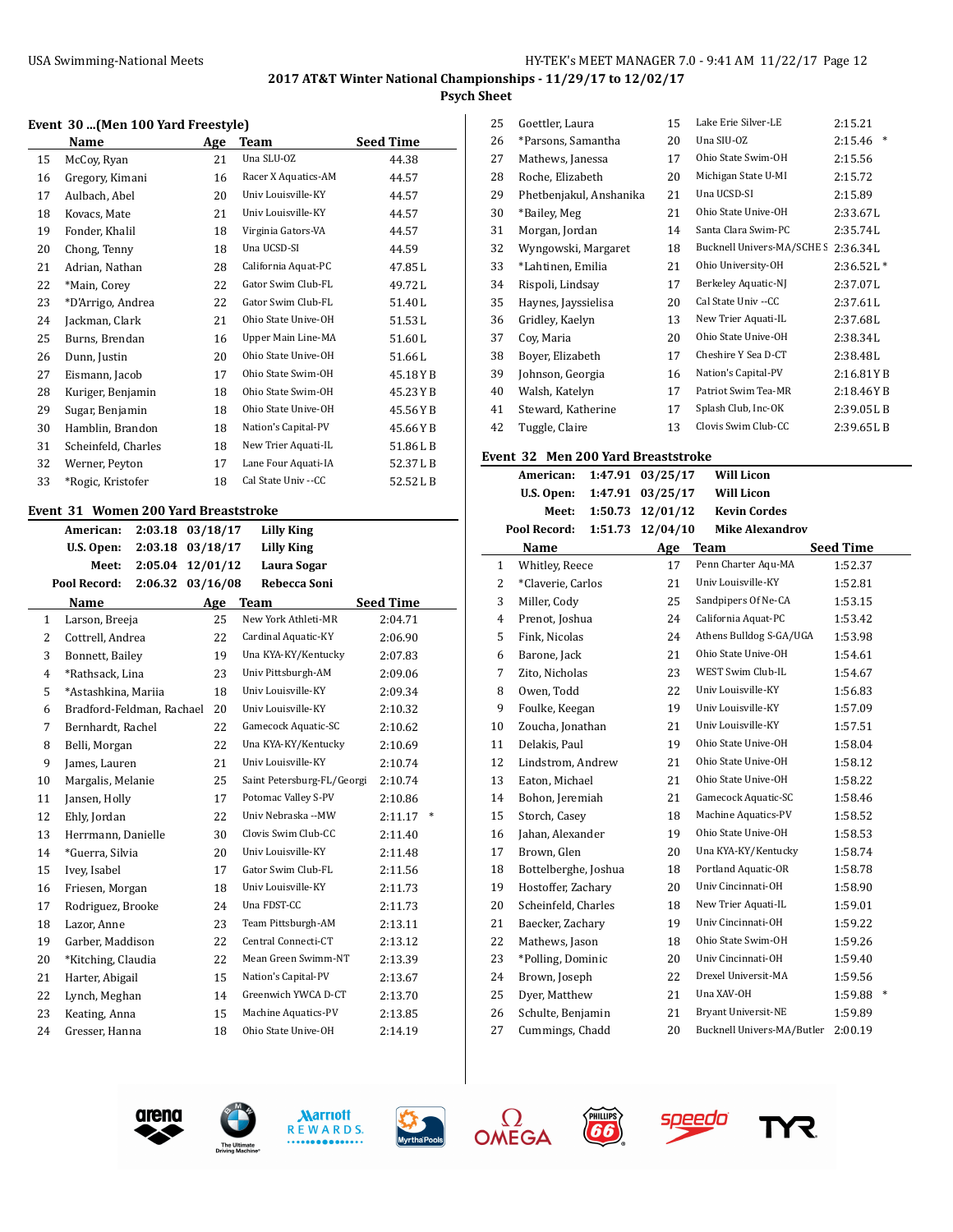# **2017 AT&T Winter National Championships - 11/29/17 to 12/02/17 Psych Sheet**

|    | Event 30  (Men 100 Yard Freestyle) |     |                     |                  |  |
|----|------------------------------------|-----|---------------------|------------------|--|
|    | Name                               | Age | Team                | <b>Seed Time</b> |  |
| 15 | McCoy, Ryan                        | 21  | Una SLU-OZ          | 44.38            |  |
| 16 | Gregory, Kimani                    | 16  | Racer X Aquatics-AM | 44.57            |  |
| 17 | Aulbach, Abel                      | 20  | Univ Louisville-KY  | 44.57            |  |
| 18 | Kovacs, Mate                       | 21  | Univ Louisville-KY  | 44.57            |  |
| 19 | Fonder, Khalil                     | 18  | Virginia Gators-VA  | 44.57            |  |
| 20 | Chong, Tenny                       | 18  | Una UCSD-SI         | 44.59            |  |
| 21 | Adrian, Nathan                     | 28  | California Aquat-PC | 47.85L           |  |
| 22 | *Main, Corey                       | 22  | Gator Swim Club-FL  | 49.72L           |  |
| 23 | *D'Arrigo, Andrea                  | 22  | Gator Swim Club-FL  | 51.40L           |  |
| 24 | Jackman, Clark                     | 21  | Ohio State Unive-OH | 51.53L           |  |
| 25 | Burns, Brendan                     | 16  | Upper Main Line-MA  | 51.60L           |  |
| 26 | Dunn, Justin                       | 20  | Ohio State Unive-OH | 51.66L           |  |
| 27 | Eismann, Jacob                     | 17  | Ohio State Swim-OH  | 45.18YB          |  |
| 28 | Kuriger, Benjamin                  | 18  | Ohio State Swim-OH  | 45.23YB          |  |
| 29 | Sugar, Benjamin                    | 18  | Ohio State Unive-OH | 45.56YB          |  |
| 30 | Hamblin, Brandon                   | 18  | Nation's Capital-PV | 45.66YB          |  |
| 31 | Scheinfeld, Charles                | 18  | New Trier Aquati-IL | 51.86LB          |  |
| 32 | Werner, Peyton                     | 17  | Lane Four Aquati-IA | 52.37LB          |  |
| 33 | *Rogic, Kristofer                  | 18  | Cal State Univ --CC | 52.52LB          |  |

## **Event 31 Women 200 Yard Breaststroke**

|                | American:                 | 2:03.18 | 03/18/17 | <b>Lilly King</b>          |                  |   |
|----------------|---------------------------|---------|----------|----------------------------|------------------|---|
|                | U.S. Open:                | 2:03.18 | 03/18/17 | Lilly King                 |                  |   |
|                | Meet:                     | 2:05.04 | 12/01/12 | Laura Sogar                |                  |   |
|                | Pool Record:              | 2:06.32 | 03/16/08 | Rebecca Soni               |                  |   |
|                | Name                      |         | Age      | <b>Team</b>                | <b>Seed Time</b> |   |
| $\mathbf{1}$   | Larson, Breeja            |         | 25       | New York Athleti-MR        | 2:04.71          |   |
| 2              | Cottrell, Andrea          |         | 22       | Cardinal Aquatic-KY        | 2:06.90          |   |
| 3              | Bonnett, Bailey           |         | 19       | Una KYA-KY/Kentucky        | 2:07.83          |   |
| $\overline{4}$ | *Rathsack, Lina           |         | 23       | Univ Pittsburgh-AM         | 2:09.06          |   |
| 5              | *Astashkina, Mariia       |         | 18       | Univ Louisville-KY         | 2:09.34          |   |
| 6              | Bradford-Feldman, Rachael |         | 20       | Univ Louisville-KY         | 2:10.32          |   |
| 7              | Bernhardt, Rachel         |         | 22       | Gamecock Aquatic-SC        | 2:10.62          |   |
| 8              | Belli, Morgan             |         | 22       | Una KYA-KY/Kentucky        | 2:10.69          |   |
| 9              | James, Lauren             |         | 21       | Univ Louisville-KY         | 2:10.74          |   |
| 10             | Margalis, Melanie         |         | 25       | Saint Petersburg-FL/Georgi | 2:10.74          |   |
| 11             | Jansen, Holly             |         | 17       | Potomac Valley S-PV        | 2:10.86          |   |
| 12             | Ehly, Jordan              |         | 22       | Univ Nebraska --MW         | 2:11.17          | ∗ |
| 13             | Herrmann, Danielle        |         | 30       | Clovis Swim Club-CC        | 2:11.40          |   |
| 14             | *Guerra, Silvia           |         | 20       | Univ Louisville-KY         | 2:11.48          |   |
| 15             | Ivey, Isabel              |         | 17       | Gator Swim Club-FL         | 2:11.56          |   |
| 16             | Friesen, Morgan           |         | 18       | Univ Louisville-KY         | 2:11.73          |   |
| 17             | Rodriguez, Brooke         |         | 24       | Una FDST-CC                | 2:11.73          |   |
| 18             | Lazor, Anne               |         | 23       | Team Pittsburgh-AM         | 2:13.11          |   |
| 19             | Garber, Maddison          |         | 22       | Central Connecti-CT        | 2:13.12          |   |
| 20             | *Kitching, Claudia        |         | 22       | Mean Green Swimm-NT        | 2:13.39          |   |
| 21             | Harter, Abigail           |         | 15       | Nation's Capital-PV        | 2:13.67          |   |
| 22             | Lynch, Meghan             |         | 14       | Greenwich YWCA D-CT        | 2:13.70          |   |
| 23             | Keating, Anna             |         | 15       | Machine Aquatics-PV        | 2:13.85          |   |
| 24             | Gresser, Hanna            |         | 18       | Ohio State Unive-OH        | 2:14.19          |   |
|                |                           |         |          |                            |                  |   |

| 25 | Goettler, Laura         | 15 | Lake Erie Silver-LE        | 2:15.21           |
|----|-------------------------|----|----------------------------|-------------------|
| 26 | *Parsons, Samantha      | 20 | Una SIU-OZ                 | $\ast$<br>2:15.46 |
| 27 | Mathews, Janessa        | 17 | Ohio State Swim-OH         | 2:15.56           |
| 28 | Roche, Elizabeth        | 20 | Michigan State U-MI        | 2:15.72           |
| 29 | Phetbenjakul, Anshanika | 21 | Una UCSD-SI                | 2:15.89           |
| 30 | *Bailey, Meg            | 21 | Ohio State Unive-OH        | 2:33.67L          |
| 31 | Morgan, Jordan          | 14 | Santa Clara Swim-PC        | 2:35.74L          |
| 32 | Wyngowski, Margaret     | 18 | Bucknell Univers-MA/SCHE S | 2:36.34L          |
| 33 | *Lahtinen, Emilia       | 21 | Ohio University-OH         | $2:36.52L*$       |
| 34 | Rispoli, Lindsay        | 17 | Berkeley Aquatic-NJ        | 2:37.07L          |
| 35 | Haynes, Jayssielisa     | 20 | Cal State Univ --CC        | 2:37.61L          |
| 36 | Gridley, Kaelyn         | 13 | New Trier Aquati-IL        | 2:37.68L          |
| 37 | Cov, Maria              | 20 | Ohio State Unive-OH        | 2:38.34L          |
| 38 | Boyer, Elizabeth        | 17 | Cheshire Y Sea D-CT        | 2:38.48L          |
| 39 | Johnson, Georgia        | 16 | Nation's Capital-PV        | 2:16.81YB         |
| 40 | Walsh, Katelyn          | 17 | Patriot Swim Tea-MR        | 2:18.46YB         |
| 41 | Steward, Katherine      | 17 | Splash Club, Inc-OK        | 2:39.05LB         |
| 42 | Tuggle, Claire          | 13 | Clovis Swim Club-CC        | 2:39.65LB         |

#### **Event 32 Men 200 Yard Breaststroke**

|                | American:            | 1:47.91 | 03/25/17 | <b>Will Licon</b>          |                  |
|----------------|----------------------|---------|----------|----------------------------|------------------|
|                | U.S. Open:           | 1:47.91 | 03/25/17 | <b>Will Licon</b>          |                  |
|                | Meet:                | 1:50.73 | 12/01/12 | <b>Kevin Cordes</b>        |                  |
|                | Pool Record:         | 1:51.73 | 12/04/10 | <b>Mike Alexandrov</b>     |                  |
|                | Name                 |         | Age      | <b>Team</b>                | <b>Seed Time</b> |
| 1              | Whitley, Reece       |         | 17       | Penn Charter Aqu-MA        | 1:52.37          |
| $\overline{c}$ | *Claverie, Carlos    |         | 21       | Univ Louisville-KY         | 1:52.81          |
| 3              | Miller, Cody         |         | 25       | Sandpipers Of Ne-CA        | 1:53.15          |
| 4              | Prenot, Joshua       |         | 24       | California Aquat-PC        | 1:53.42          |
| 5              | Fink, Nicolas        |         | 24       | Athens Bulldog S-GA/UGA    | 1:53.98          |
| 6              | Barone, Jack         |         | 21       | Ohio State Unive-OH        | 1:54.61          |
| 7              | Zito, Nicholas       |         | 23       | WEST Swim Club-IL          | 1:54.67          |
| 8              | Owen, Todd           |         | 22       | Univ Louisville-KY         | 1:56.83          |
| 9              | Foulke, Keegan       |         | 19       | Univ Louisville-KY         | 1:57.09          |
| 10             | Zoucha, Jonathan     |         | 21       | Univ Louisville-KY         | 1:57.51          |
| 11             | Delakis, Paul        |         | 19       | Ohio State Unive-OH        | 1:58.04          |
| 12             | Lindstrom, Andrew    |         | 21       | Ohio State Unive-OH        | 1:58.12          |
| 13             | Eaton, Michael       |         | 21       | Ohio State Unive-OH        | 1:58.22          |
| 14             | Bohon, Jeremiah      |         | 21       | Gamecock Aquatic-SC        | 1:58.46          |
| 15             | Storch, Casey        |         | 18       | Machine Aquatics-PV        | 1:58.52          |
| 16             | Jahan, Alexander     |         | 19       | Ohio State Unive-OH        | 1:58.53          |
| 17             | Brown, Glen          |         | 20       | Una KYA-KY/Kentucky        | 1:58.74          |
| 18             | Bottelberghe, Joshua |         | 18       | Portland Aquatic-OR        | 1:58.78          |
| 19             | Hostoffer, Zachary   |         | 20       | Univ Cincinnati-OH         | 1:58.90          |
| 20             | Scheinfeld, Charles  |         | 18       | New Trier Aquati-IL        | 1:59.01          |
| 21             | Baecker, Zachary     |         | 19       | Univ Cincinnati-OH         | 1:59.22          |
| 22             | Mathews, Jason       |         | 18       | Ohio State Swim-OH         | 1:59.26          |
| 23             | *Polling, Dominic    |         | 20       | Univ Cincinnati-OH         | 1:59.40          |
| 24             | Brown, Joseph        |         | 22       | Drexel Universit-MA        | 1:59.56          |
| 25             | Dyer, Matthew        |         | 21       | Una XAV-OH                 | 1:59.88          |
| 26             | Schulte, Benjamin    |         | 21       | Bryant Universit-NE        | 1:59.89          |
| 27             | Cummings, Chadd      |         | 20       | Bucknell Univers-MA/Butler | 2:00.19          |
|                |                      |         |          |                            |                  |









**FIELLIPS** 



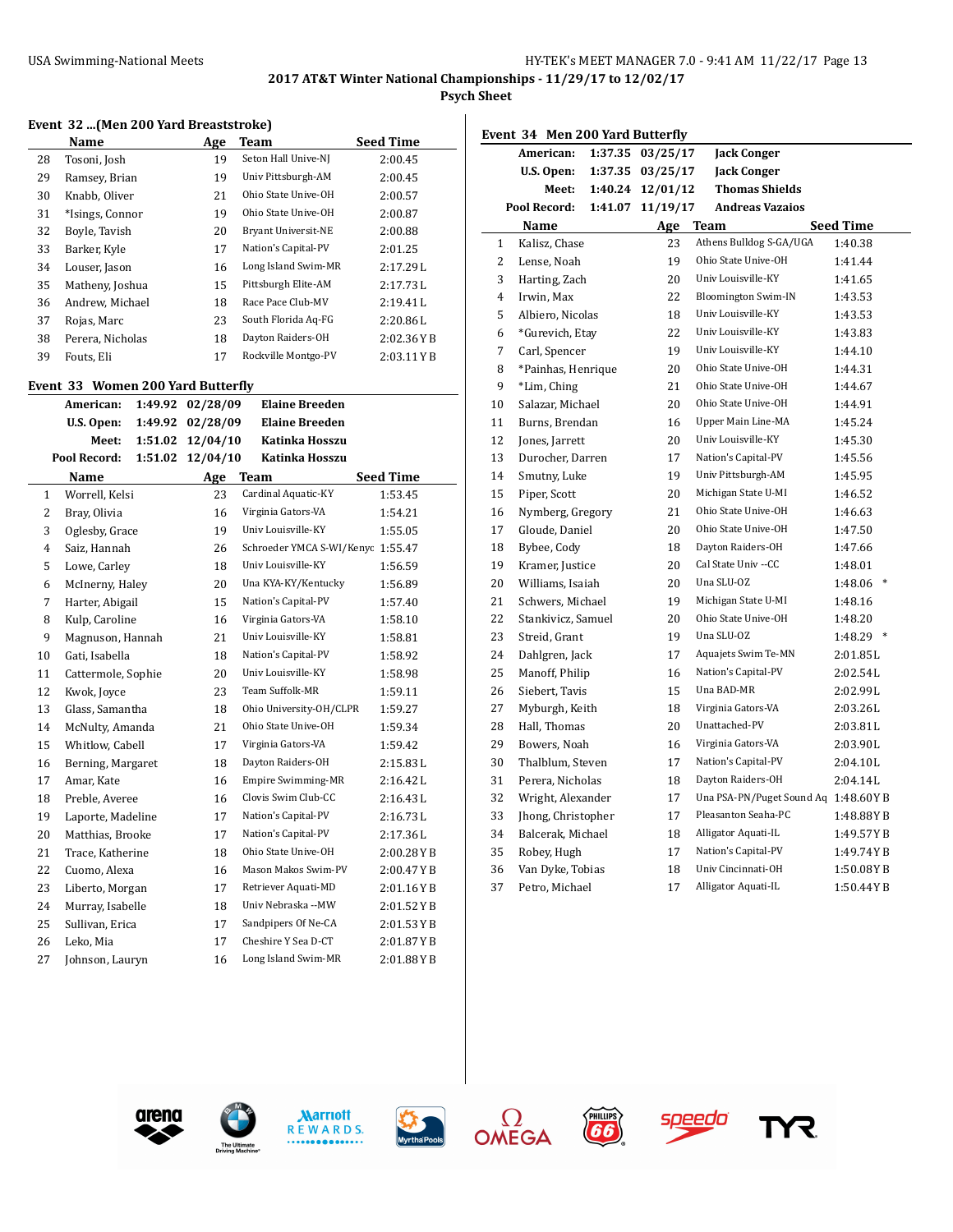**Psych Sheet**

#### **Event 32 ...(Men 200 Yard Breaststroke)**

|    | Name             | Age | Team                | <b>Seed Time</b> |
|----|------------------|-----|---------------------|------------------|
| 28 | Tosoni, Josh     | 19  | Seton Hall Unive-NJ | 2:00.45          |
| 29 | Ramsey, Brian    | 19  | Univ Pittsburgh-AM  | 2:00.45          |
| 30 | Knabb, Oliver    | 21  | Ohio State Unive-OH | 2:00.57          |
| 31 | *Isings, Connor  | 19  | Ohio State Unive-OH | 2:00.87          |
| 32 | Boyle, Tavish    | 20  | Bryant Universit-NE | 2:00.88          |
| 33 | Barker, Kyle     | 17  | Nation's Capital-PV | 2:01.25          |
| 34 | Louser, Jason    | 16  | Long Island Swim-MR | 2:17.29L         |
| 35 | Matheny, Joshua  | 15  | Pittsburgh Elite-AM | 2:17.73L         |
| 36 | Andrew, Michael  | 18  | Race Pace Club-MV   | 2:19.41L         |
| 37 | Rojas, Marc      | 23  | South Florida Aq-FG | 2:20.86L         |
| 38 | Perera, Nicholas | 18  | Dayton Raiders-OH   | 2:02.36YB        |
| 39 | Fouts, Eli       | 17  | Rockville Montgo-PV | 2:03.11YB        |

## **Event 33 Women 200 Yard Butterfly**

 $\overline{a}$ 

| лені ээ        | American:          | 1:49.92 | WOMEN ZOO TATU DULLEI NY<br>02/28/09 | <b>Elaine Breeden</b>             |                  |
|----------------|--------------------|---------|--------------------------------------|-----------------------------------|------------------|
|                | U.S. Open:         | 1:49.92 | 02/28/09                             | <b>Elaine Breeden</b>             |                  |
|                | Meet:              | 1:51.02 | 12/04/10                             | Katinka Hosszu                    |                  |
|                | Pool Record:       | 1:51.02 | 12/04/10                             | Katinka Hosszu                    |                  |
|                | Name               |         | Age                                  | <b>Team</b>                       | <b>Seed Time</b> |
| $\mathbf{1}$   | Worrell, Kelsi     |         | 23                                   | Cardinal Aquatic-KY               | 1:53.45          |
| $\overline{2}$ | Bray, Olivia       |         | 16                                   | Virginia Gators-VA                | 1:54.21          |
| 3              | Oglesby, Grace     |         | 19                                   | Univ Louisville-KY                | 1:55.05          |
| $\overline{4}$ | Saiz, Hannah       |         | 26                                   | Schroeder YMCA S-WI/Kenyc 1:55.47 |                  |
| 5              | Lowe, Carley       |         | 18                                   | Univ Louisville-KY                | 1:56.59          |
| 6              | McInerny, Haley    |         | 20                                   | Una KYA-KY/Kentucky               | 1:56.89          |
| 7              | Harter, Abigail    |         | 15                                   | Nation's Capital-PV               | 1:57.40          |
| 8              | Kulp, Caroline     |         | 16                                   | Virginia Gators-VA                | 1:58.10          |
| 9              | Magnuson, Hannah   |         | 21                                   | Univ Louisville-KY                | 1:58.81          |
| 10             | Gati, Isabella     |         | 18                                   | Nation's Capital-PV               | 1:58.92          |
| 11             | Cattermole, Sophie |         | 20                                   | Univ Louisville-KY                | 1:58.98          |
| 12             | Kwok, Joyce        |         | 23                                   | Team Suffolk-MR                   | 1:59.11          |
| 13             | Glass, Samantha    |         | 18                                   | Ohio University-OH/CLPR           | 1:59.27          |
| 14             | McNulty, Amanda    |         | 21                                   | Ohio State Unive-OH               | 1:59.34          |
| 15             | Whitlow, Cabell    |         | 17                                   | Virginia Gators-VA                | 1:59.42          |
| 16             | Berning, Margaret  |         | 18                                   | Dayton Raiders-OH                 | 2:15.83L         |
| 17             | Amar, Kate         |         | 16                                   | <b>Empire Swimming-MR</b>         | 2:16.42L         |
| 18             | Preble, Averee     |         | 16                                   | Clovis Swim Club-CC               | 2:16.43L         |
| 19             | Laporte, Madeline  |         | 17                                   | Nation's Capital-PV               | 2:16.73L         |
| 20             | Matthias, Brooke   |         | 17                                   | Nation's Capital-PV               | 2:17.36L         |
| 21             | Trace, Katherine   |         | 18                                   | Ohio State Unive-OH               | 2:00.28YB        |
| 22             | Cuomo, Alexa       |         | 16                                   | Mason Makos Swim-PV               | 2:00.47YB        |
| 23             | Liberto, Morgan    |         | 17                                   | Retriever Aquati-MD               | 2:01.16YB        |
| 24             | Murray, Isabelle   |         | 18                                   | Univ Nebraska --MW                | 2:01.52YB        |
| 25             | Sullivan, Erica    |         | 17                                   | Sandpipers Of Ne-CA               | 2:01.53YB        |
| 26             | Leko, Mia          |         | 17                                   | Cheshire Y Sea D-CT               | 2:01.87YB        |
| 27             | Johnson, Lauryn    |         | 16                                   | Long Island Swim-MR               | 2:01.88YB        |
|                |                    |         |                                      |                                   |                  |

|                         | Event 34 Men 200 Yard Butterfly |         |                  |                                      |                   |  |
|-------------------------|---------------------------------|---------|------------------|--------------------------------------|-------------------|--|
|                         | American:                       | 1:37.35 | 03/25/17         | <b>Jack Conger</b>                   |                   |  |
|                         | U.S. Open:                      | 1:37.35 | 03/25/17         | <b>Jack Conger</b>                   |                   |  |
|                         | Meet:                           |         | 1:40.24 12/01/12 | <b>Thomas Shields</b>                |                   |  |
| Pool Record:<br>1:41.07 |                                 |         | 11/19/17         | <b>Andreas Vazaios</b>               |                   |  |
|                         | Name                            |         | Age              | Team                                 | <b>Seed Time</b>  |  |
| 1                       | Kalisz, Chase                   |         | 23               | Athens Bulldog S-GA/UGA              | 1:40.38           |  |
| $\overline{2}$          | Lense, Noah                     |         | 19               | Ohio State Unive-OH                  | 1:41.44           |  |
| 3                       | Harting, Zach                   |         | 20               | Univ Louisville-KY                   | 1:41.65           |  |
| $\overline{4}$          | Irwin, Max                      |         | 22               | <b>Bloomington Swim-IN</b>           | 1:43.53           |  |
| 5                       | Albiero, Nicolas                |         | 18               | Univ Louisville-KY                   | 1:43.53           |  |
| 6                       | *Gurevich, Etay                 |         | 22               | Univ Louisville-KY                   | 1:43.83           |  |
| $\overline{7}$          | Carl, Spencer                   |         | 19               | Univ Louisville-KY                   | 1:44.10           |  |
| 8                       | *Painhas, Henrique              |         | 20               | Ohio State Unive-OH                  | 1:44.31           |  |
| 9                       | *Lim, Ching                     |         | 21               | Ohio State Unive-OH                  | 1:44.67           |  |
| 10                      | Salazar, Michael                |         | 20               | Ohio State Unive-OH                  | 1:44.91           |  |
| 11                      | Burns, Brendan                  |         | 16               | Upper Main Line-MA                   | 1:45.24           |  |
| 12                      | Jones, Jarrett                  |         | 20               | Univ Louisville-KY                   | 1:45.30           |  |
| 13                      | Durocher, Darren                |         | 17               | Nation's Capital-PV                  | 1:45.56           |  |
| 14                      | Smutny, Luke                    |         | 19               | Univ Pittsburgh-AM                   | 1:45.95           |  |
| 15                      | Piper, Scott                    |         | 20               | Michigan State U-MI                  | 1:46.52           |  |
| 16                      | Nymberg, Gregory                |         | 21               | Ohio State Unive-OH                  | 1:46.63           |  |
| 17                      | Gloude, Daniel                  |         | 20               | Ohio State Unive-OH                  | 1:47.50           |  |
| 18                      | Bybee, Cody                     |         | 18               | Dayton Raiders-OH                    | 1:47.66           |  |
| 19                      | Kramer, Justice                 |         | 20               | Cal State Univ --CC                  | 1:48.01           |  |
| 20                      | Williams, Isaiah                |         | 20               | Una SLU-OZ                           | 1:48.06<br>$\ast$ |  |
| 21                      | Schwers, Michael                |         | 19               | Michigan State U-MI                  | 1:48.16           |  |
| 22                      | Stankivicz, Samuel              |         | 20               | Ohio State Unive-OH                  | 1:48.20           |  |
| 23                      | Streid, Grant                   |         | 19               | Una SLU-OZ                           | 1:48.29 *         |  |
| 24                      | Dahlgren, Jack                  |         | 17               | Aquajets Swim Te-MN                  | 2:01.85L          |  |
| 25                      | Manoff, Philip                  |         | 16               | Nation's Capital-PV                  | 2:02.54L          |  |
| 26                      | Siebert, Tavis                  |         | 15               | Una BAD-MR                           | 2:02.99L          |  |
| 27                      | Myburgh, Keith                  |         | 18               | Virginia Gators-VA                   | 2:03.26L          |  |
| 28                      | Hall, Thomas                    |         | 20               | Unattached-PV                        | 2:03.81L          |  |
| 29                      | Bowers, Noah                    |         | 16               | Virginia Gators-VA                   | 2:03.90L          |  |
| 30                      | Thalblum, Steven                |         | 17               | Nation's Capital-PV                  | 2:04.10L          |  |
| 31                      | Perera, Nicholas                |         | 18               | Dayton Raiders-OH                    | 2:04.14L          |  |
| 32                      | Wright, Alexander               |         | 17               | Una PSA-PN/Puget Sound Aq 1:48.60Y B |                   |  |
| 33                      | Jhong, Christopher              |         | 17               | Pleasanton Seaha-PC                  | 1:48.88YB         |  |
| 34                      | Balcerak, Michael               |         | 18               | Alligator Aquati-IL                  | 1:49.57YB         |  |
| 35                      | Robey, Hugh                     |         | 17               | Nation's Capital-PV                  | 1:49.74YB         |  |
| 36                      | Van Dyke, Tobias                |         | 18               | Univ Cincinnati-OH                   | 1:50.08YB         |  |
| 37                      | Petro, Michael                  |         | 17               | Alligator Aquati-IL                  | 1:50.44YB         |  |